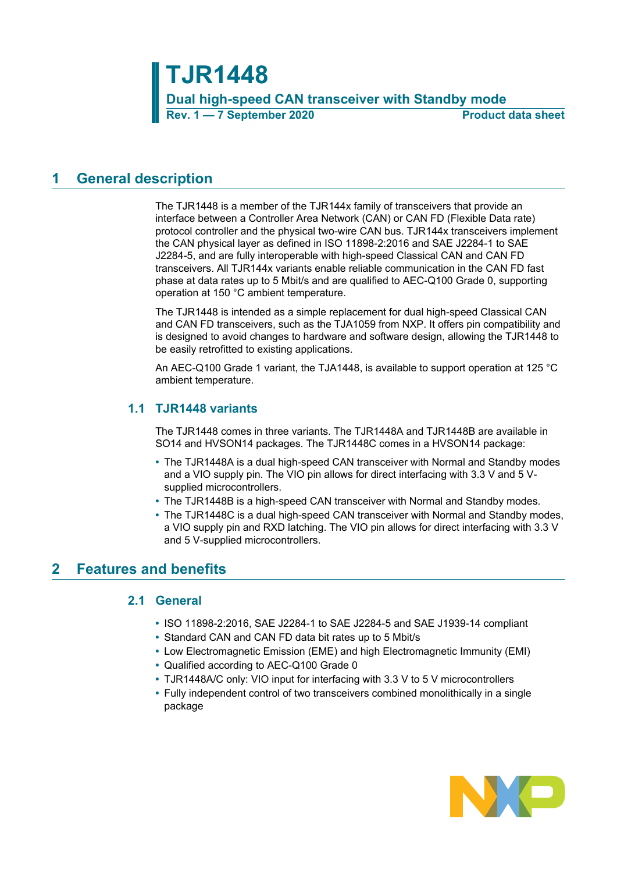**TJR1448 Dual high-speed CAN transceiver with Standby mode Rev. 1 — 7 September 2020 Product data sheet**

# <span id="page-0-0"></span>**1 General description**

The TJR1448 is a member of the TJR144x family of transceivers that provide an interface between a Controller Area Network (CAN) or CAN FD (Flexible Data rate) protocol controller and the physical two-wire CAN bus. TJR144x transceivers implement the CAN physical layer as defined in ISO 11898-2:2016 and SAE J2284-1 to SAE J2284-5, and are fully interoperable with high-speed Classical CAN and CAN FD transceivers. All TJR144x variants enable reliable communication in the CAN FD fast phase at data rates up to 5 Mbit/s and are qualified to AEC-Q100 Grade 0, supporting operation at 150 °C ambient temperature.

The TJR1448 is intended as a simple replacement for dual high-speed Classical CAN and CAN FD transceivers, such as the TJA1059 from NXP. It offers pin compatibility and is designed to avoid changes to hardware and software design, allowing the TJR1448 to be easily retrofitted to existing applications.

An AEC-Q100 Grade 1 variant, the TJA1448, is available to support operation at 125 °C ambient temperature.

## <span id="page-0-1"></span>**1.1 TJR1448 variants**

The TJR1448 comes in three variants. The TJR1448A and TJR1448B are available in SO14 and HVSON14 packages. The TJR1448C comes in a HVSON14 package:

- **•** The TJR1448A is a dual high-speed CAN transceiver with Normal and Standby modes and a VIO supply pin. The VIO pin allows for direct interfacing with 3.3 V and 5 Vsupplied microcontrollers.
- **•** The TJR1448B is a high-speed CAN transceiver with Normal and Standby modes.
- **•** The TJR1448C is a dual high-speed CAN transceiver with Normal and Standby modes, a VIO supply pin and RXD latching. The VIO pin allows for direct interfacing with 3.3 V and 5 V-supplied microcontrollers.

# <span id="page-0-2"></span>**2 Features and benefits**

## <span id="page-0-3"></span>**2.1 General**

- **•** ISO 11898-2:2016, SAE J2284-1 to SAE J2284-5 and SAE J1939-14 compliant
- **•** Standard CAN and CAN FD data bit rates up to 5 Mbit/s
- **•** Low Electromagnetic Emission (EME) and high Electromagnetic Immunity (EMI)
- **•** Qualified according to AEC-Q100 Grade 0
- **•** TJR1448A/C only: VIO input for interfacing with 3.3 V to 5 V microcontrollers
- **•** Fully independent control of two transceivers combined monolithically in a single package

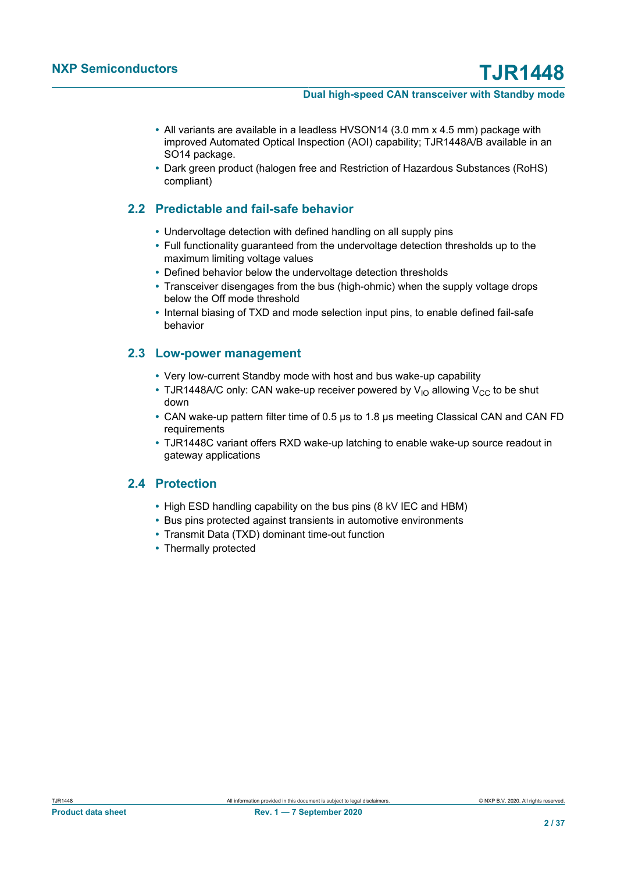- **•** All variants are available in a leadless HVSON14 (3.0 mm x 4.5 mm) package with improved Automated Optical Inspection (AOI) capability; TJR1448A/B available in an SO14 package.
- <span id="page-1-0"></span>**•** Dark green product (halogen free and Restriction of Hazardous Substances (RoHS) compliant)

# **2.2 Predictable and fail-safe behavior**

- **•** Undervoltage detection with defined handling on all supply pins
- **•** Full functionality guaranteed from the undervoltage detection thresholds up to the maximum limiting voltage values
- **•** Defined behavior below the undervoltage detection thresholds
- **•** Transceiver disengages from the bus (high-ohmic) when the supply voltage drops below the Off mode threshold
- <span id="page-1-1"></span>**•** Internal biasing of TXD and mode selection input pins, to enable defined fail-safe behavior

## **2.3 Low-power management**

- **•** Very low-current Standby mode with host and bus wake-up capability
- TJR1448A/C only: CAN wake-up receiver powered by V<sub>IO</sub> allowing V<sub>CC</sub> to be shut down
- **•** CAN wake-up pattern filter time of 0.5 μs to 1.8 μs meeting Classical CAN and CAN FD requirements
- <span id="page-1-2"></span>**•** TJR1448C variant offers RXD wake-up latching to enable wake-up source readout in gateway applications

## **2.4 Protection**

- **•** High ESD handling capability on the bus pins (8 kV IEC and HBM)
- **•** Bus pins protected against transients in automotive environments
- **•** Transmit Data (TXD) dominant time-out function
- **•** Thermally protected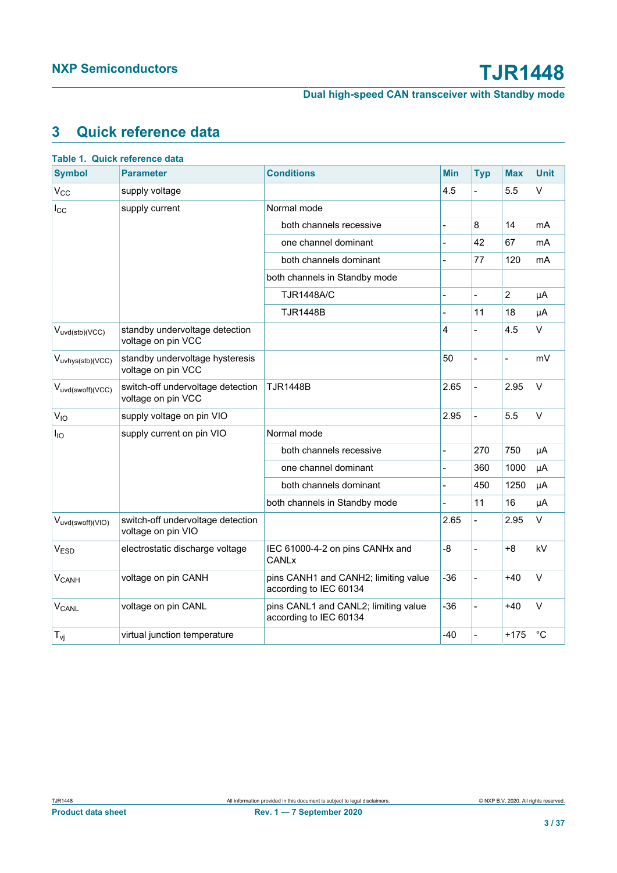# <span id="page-2-0"></span>**3 Quick reference data**

| <b>Symbol</b>                 | <b>Parameter</b>                                        | <b>Conditions</b>                                              | <b>Min</b>     | <b>Typ</b>     | <b>Max</b>     | <b>Unit</b> |
|-------------------------------|---------------------------------------------------------|----------------------------------------------------------------|----------------|----------------|----------------|-------------|
| $V_{CC}$                      | supply voltage                                          |                                                                | 4.5            |                | 5.5            | V           |
| $I_{\rm CC}$                  | supply current                                          | Normal mode                                                    |                |                |                |             |
|                               |                                                         | both channels recessive                                        | $\overline{a}$ | 8              | 14             | mA          |
|                               |                                                         | one channel dominant                                           |                | 42             | 67             | mA          |
|                               |                                                         | both channels dominant                                         |                | 77             | 120            | mA          |
|                               |                                                         | both channels in Standby mode                                  |                |                |                |             |
|                               |                                                         | <b>TJR1448A/C</b>                                              |                |                | $\overline{2}$ | μA          |
|                               |                                                         | <b>TJR1448B</b>                                                |                | 11             | 18             | μA          |
| $V_{uvd(stb)(VCC)}$           | standby undervoltage detection<br>voltage on pin VCC    |                                                                | 4              |                | 4.5            | $\vee$      |
| V <sub>uvhys(stb)</sub> (VCC) | standby undervoltage hysteresis<br>voltage on pin VCC   |                                                                | 50             | $\overline{a}$ | $\overline{a}$ | mV          |
| Vuvd(swoff)(VCC)              | switch-off undervoltage detection<br>voltage on pin VCC | TJR1448B                                                       | 2.65           | $\overline{a}$ | 2.95           | $\vee$      |
| $V_{10}$                      | supply voltage on pin VIO                               |                                                                | 2.95           | $\overline{a}$ | 5.5            | $\vee$      |
| $I_{IO}$                      | supply current on pin VIO                               | Normal mode                                                    |                |                |                |             |
|                               |                                                         | both channels recessive                                        |                | 270            | 750            | μA          |
|                               |                                                         | one channel dominant                                           |                | 360            | 1000           | μA          |
|                               |                                                         | both channels dominant                                         | $\overline{a}$ | 450            | 1250           | μA          |
|                               |                                                         | both channels in Standby mode                                  |                | 11             | 16             | μA          |
| Vuvd(swoff)(VIO)              | switch-off undervoltage detection<br>voltage on pin VIO |                                                                | 2.65           |                | 2.95           | $\vee$      |
| V <sub>ESD</sub>              | electrostatic discharge voltage                         | IEC 61000-4-2 on pins CANHx and<br><b>CANLx</b>                | $-8$           |                | $+8$           | kV          |
| <b>V<sub>CANH</sub></b>       | voltage on pin CANH                                     | pins CANH1 and CANH2; limiting value<br>according to IEC 60134 | $-36$          | $\overline{a}$ | $+40$          | $\vee$      |
| $V_{CANL}$                    | voltage on pin CANL                                     | pins CANL1 and CANL2; limiting value<br>according to IEC 60134 | $-36$          |                | $+40$          | $\vee$      |
| $T_{\nu i}$                   | virtual junction temperature                            |                                                                | $-40$          |                | $+175$         | $^{\circ}C$ |
|                               |                                                         |                                                                |                |                |                |             |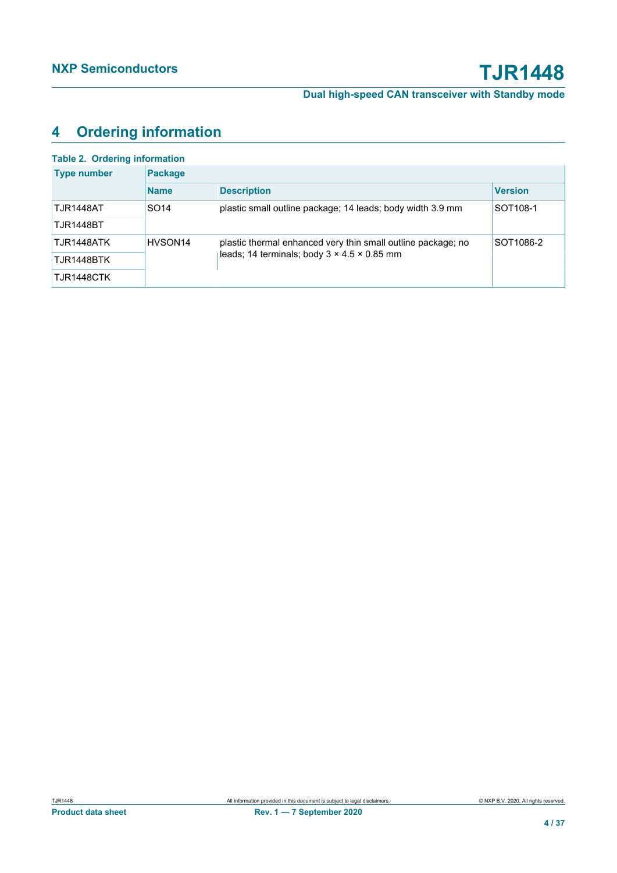# <span id="page-3-0"></span>**4 Ordering information**

| <b>Table 2. Ordering information</b> |                     |                                                              |                      |  |  |  |  |  |
|--------------------------------------|---------------------|--------------------------------------------------------------|----------------------|--|--|--|--|--|
| <b>Type number</b>                   | <b>Package</b>      |                                                              |                      |  |  |  |  |  |
|                                      | <b>Name</b>         | <b>Description</b>                                           | <b>Version</b>       |  |  |  |  |  |
| <b>TJR1448AT</b>                     | SO <sub>14</sub>    | plastic small outline package; 14 leads; body width 3.9 mm   | SOT <sub>108-1</sub> |  |  |  |  |  |
| <b>TJR1448BT</b>                     |                     |                                                              |                      |  |  |  |  |  |
| TJR1448ATK                           | HVSON <sub>14</sub> | plastic thermal enhanced very thin small outline package; no | SOT1086-2            |  |  |  |  |  |
| TJR1448BTK                           |                     | leads; 14 terminals; body $3 \times 4.5 \times 0.85$ mm      |                      |  |  |  |  |  |
| TJR1448CTK                           |                     |                                                              |                      |  |  |  |  |  |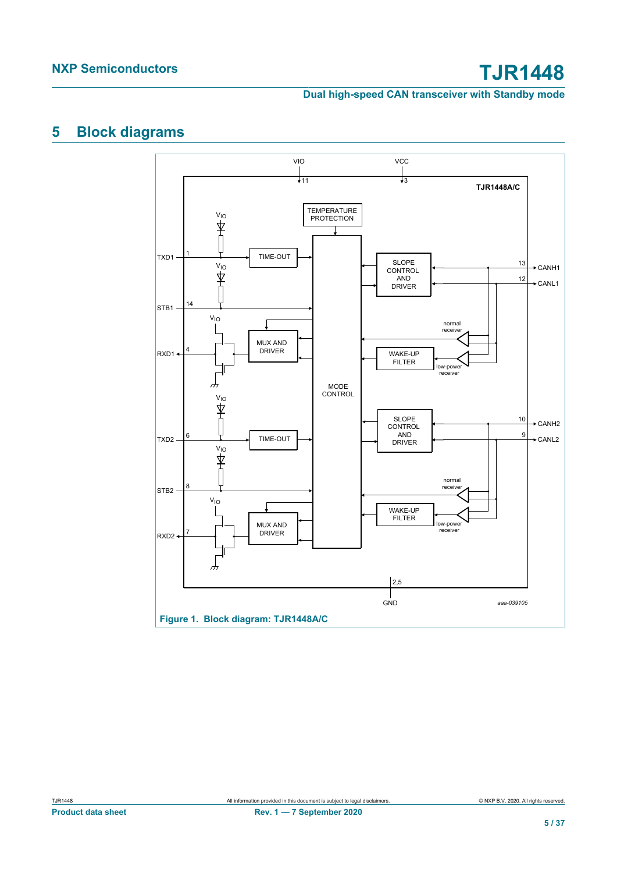# <span id="page-4-0"></span>**5 Block diagrams**

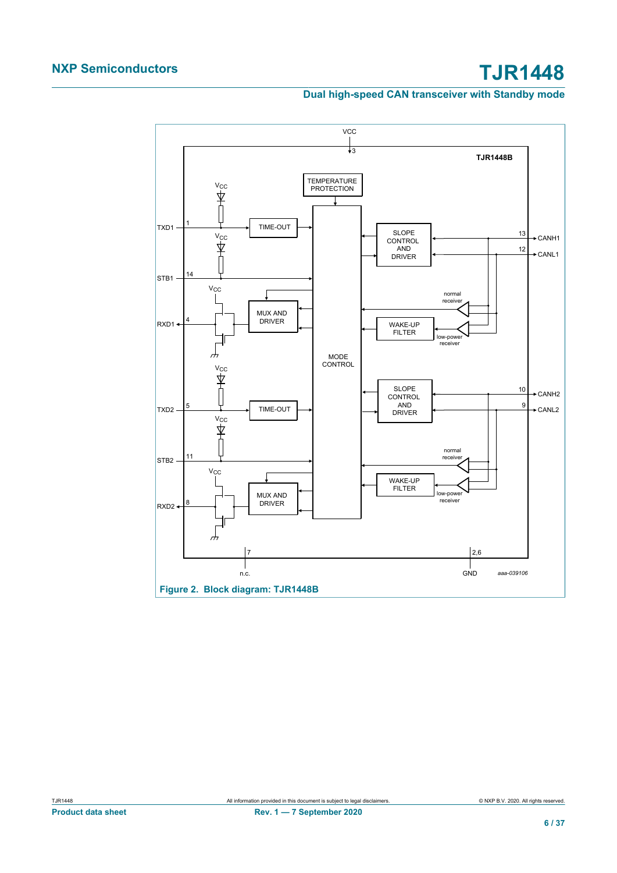## **Dual high-speed CAN transceiver with Standby mode**

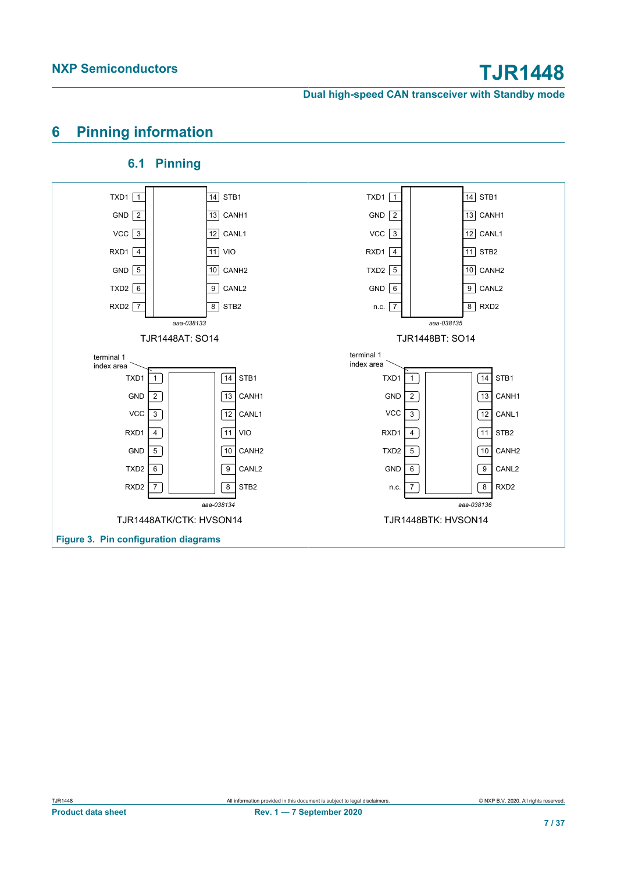# <span id="page-6-0"></span>**6 Pinning information**

#### TXD1 1 | 14 | STB1 GND 2 13 CANH1 VCC 3 12 CANL1 RXD1 4 | 11 | 11 | 10 GND 5 10 CANH2 TXD2 | 6 | | | | | | | | | | | CANL2 RXD2  $\boxed{7}$   $\boxed{8}$  STB2 *aaa-038133*  $TXD1$  1 GND  $\boxed{2}$  $VCC$   $\sqrt{3}$ GND  $\sqrt{5}$ TXD2  $6$ 7 8  $11$  VIO TXD1 STB1 14 GND 2 13 CANH1  $VCC$  3 12 CANL1 RXD1 STB2 4 TXD2 5 | 10 CANH2 GND 6 | 9 | CANL2 n.c.  $\boxed{7}$   $\boxed{8}$  RXD2 *aaa-038135* TXD1 $\boxed{1}$ GND  $\sqrt{2}$  $VCC$   $\sqrt{3}$  $TXD2$  5 GND  $\boxed{6}$ 7 8  $\overline{11}$  STB2 TJR1448AT: SO14 TJR1448BT: SO14 terminal 1 index area  $TXD1$  1 GND  $\sqrt{2}$  $RXD1$  4 GND  $\boxed{5}$  $TXD2$  6  $RXD2$   $\boxed{7}$  $\sqrt{14}$  STB1  $\sqrt{13}$  CANH<sub>1</sub>  $\sqrt{12}$  CANL1  $\sqrt{11}$  VIO  $10$  CANH<sub>2</sub>  $\boxed{9}$  CANL2 8 STB<sub>2</sub>  $VCC$   $\boxed{3}$ *aaa-038134* terminal 1 index area  $TXD1$  1  $GND$   $\boxed{2}$ RXD1 $\boxed{4}$  $TXD2$  5  $GND \ 6$  $n.c.$   $\boxed{7}$  $\sqrt{14}$  STB1  $\sqrt{13}$  CANH<sub>1</sub>  $\sqrt{12}$  CANL1  $\sqrt{11}$  STB2  $10$  CANH<sub>2</sub> 9 CANL2  $\sqrt{8}$  RXD2  $VCC$   $\sqrt{3}$ *aaa-038136* TJR1448ATK/CTK: HVSON14 TJR1448BTK: HVSON14 **Figure 3. Pin configuration diagrams**

## <span id="page-6-1"></span>**6.1 Pinning**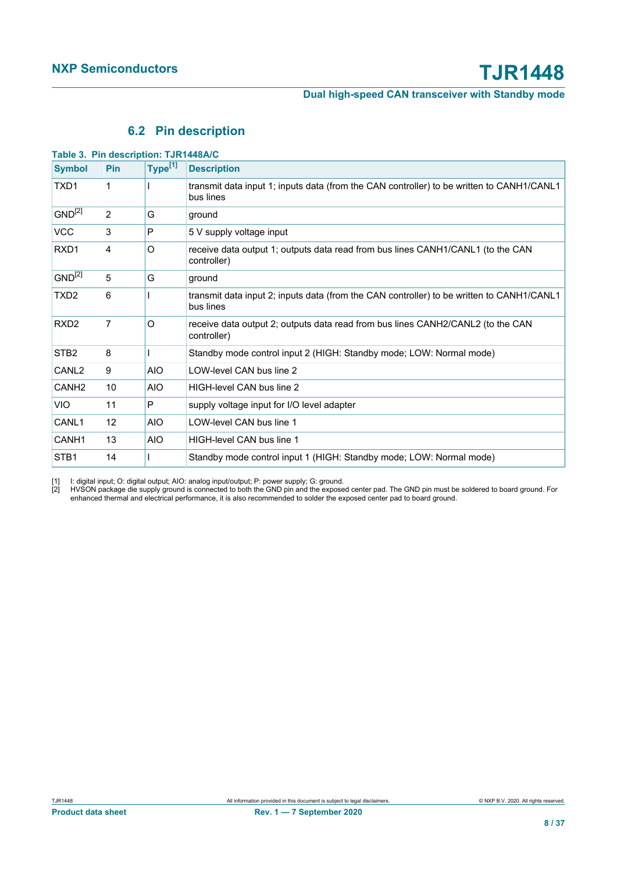# <span id="page-7-2"></span><span id="page-7-1"></span><span id="page-7-0"></span>**6.2 Pin description**

| Table 3. Pin description: TJR1448A/C |                |                     |                                                                                                        |
|--------------------------------------|----------------|---------------------|--------------------------------------------------------------------------------------------------------|
| <b>Symbol</b>                        | <b>Pin</b>     | Type <sup>[1]</sup> | <b>Description</b>                                                                                     |
| TXD1                                 | 1              |                     | transmit data input 1; inputs data (from the CAN controller) to be written to CANH1/CANL1<br>bus lines |
| $GND^{[2]}$                          | $\overline{2}$ | G                   | ground                                                                                                 |
| <b>VCC</b>                           | 3              | P                   | 5 V supply voltage input                                                                               |
| RXD1                                 | 4              | O                   | receive data output 1; outputs data read from bus lines CANH1/CANL1 (to the CAN<br>controller)         |
| $GND^{[2]}$                          | 5              | G                   | ground                                                                                                 |
| TXD <sub>2</sub>                     | 6              |                     | transmit data input 2; inputs data (from the CAN controller) to be written to CANH1/CANL1<br>bus lines |
| RXD <sub>2</sub>                     | 7              | O                   | receive data output 2; outputs data read from bus lines CANH2/CANL2 (to the CAN<br>controller)         |
| STB <sub>2</sub>                     | 8              |                     | Standby mode control input 2 (HIGH: Standby mode; LOW: Normal mode)                                    |
| CANL <sub>2</sub>                    | 9              | <b>AIO</b>          | LOW-level CAN bus line 2                                                                               |
| CANH <sub>2</sub>                    | 10             | <b>AIO</b>          | HIGH-level CAN bus line 2                                                                              |
| <b>VIO</b>                           | 11             | P                   | supply voltage input for I/O level adapter                                                             |
| CANL1                                | 12             | <b>AIO</b>          | LOW-level CAN bus line 1                                                                               |
| CANH1                                | 13             | <b>AIO</b>          | HIGH-level CAN bus line 1                                                                              |
| STB <sub>1</sub>                     | 14             |                     | Standby mode control input 1 (HIGH: Standby mode; LOW: Normal mode)                                    |

[1] I: digital input; O: digital output; AIO: analog input/output; P: power supply; G: ground.

[2] HVSON package die supply ground is connected to both the GND pin and the exposed center pad. The GND pin must be soldered to board ground. For enhanced thermal and electrical performance, it is also recommended to solder the exposed center pad to board ground.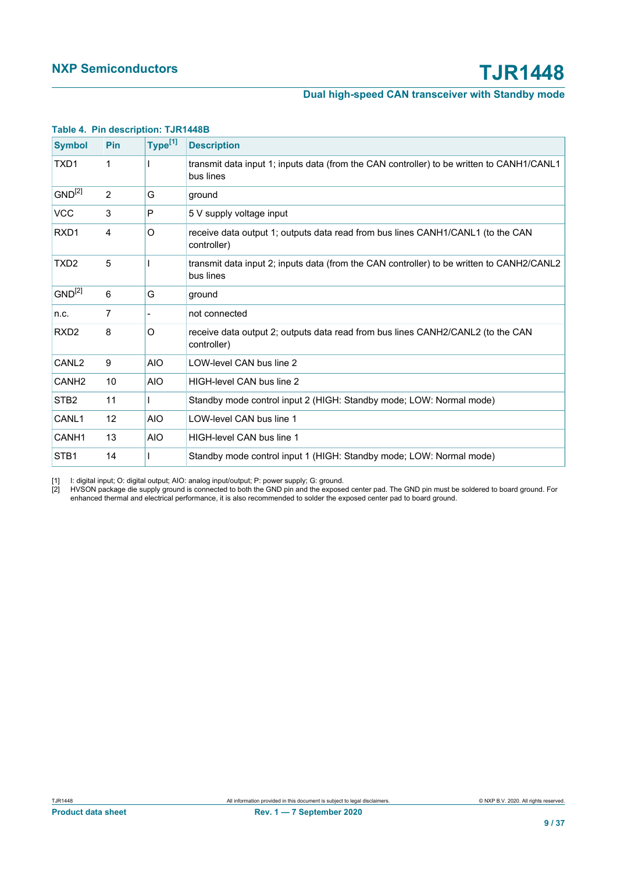<span id="page-8-1"></span>

| <b>Symbol</b>     | <b>Pin</b> | Type <sup>[1]</sup> | <b>Description</b>                                                                                     |
|-------------------|------------|---------------------|--------------------------------------------------------------------------------------------------------|
| TXD <sub>1</sub>  | 1          |                     | transmit data input 1; inputs data (from the CAN controller) to be written to CANH1/CANL1<br>bus lines |
| $GND^{[2]}$       | 2          | G                   | ground                                                                                                 |
| <b>VCC</b>        | 3          | $\mathsf{P}$        | 5 V supply voltage input                                                                               |
| RXD <sub>1</sub>  | 4          | O                   | receive data output 1; outputs data read from bus lines CANH1/CANL1 (to the CAN<br>controller)         |
| TXD <sub>2</sub>  | 5          |                     | transmit data input 2; inputs data (from the CAN controller) to be written to CANH2/CANL2<br>bus lines |
| $GND^{[2]}$       | 6          | G                   | ground                                                                                                 |
| n.c.              | 7          |                     | not connected                                                                                          |
| RXD <sub>2</sub>  | 8          | O                   | receive data output 2; outputs data read from bus lines CANH2/CANL2 (to the CAN<br>controller)         |
| CANL <sub>2</sub> | 9          | <b>AIO</b>          | LOW-level CAN bus line 2                                                                               |
| CANH <sub>2</sub> | 10         | <b>AIO</b>          | HIGH-level CAN bus line 2                                                                              |
| STB <sub>2</sub>  | 11         |                     | Standby mode control input 2 (HIGH: Standby mode; LOW: Normal mode)                                    |
| CANL1             | 12         | <b>AIO</b>          | LOW-level CAN bus line 1                                                                               |
| CANH <sub>1</sub> | 13         | <b>AIO</b>          | HIGH-level CAN bus line 1                                                                              |
| STB <sub>1</sub>  | 14         |                     | Standby mode control input 1 (HIGH: Standby mode; LOW: Normal mode)                                    |

### <span id="page-8-0"></span>**Table 4. Pin description: TJR1448B**

[1] I: digital input; O: digital output; AIO: analog input/output; P: power supply; G: ground.

[2] HVSON package die supply ground is connected to both the GND pin and the exposed center pad. The GND pin must be soldered to board ground. For enhanced thermal and electrical performance, it is also recommended to solder the exposed center pad to board ground.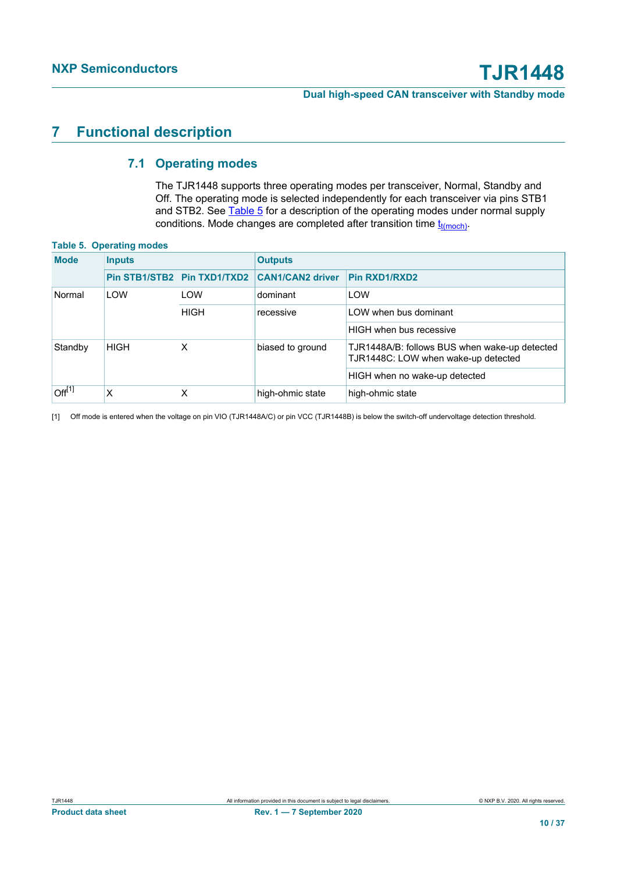# <span id="page-9-3"></span>**7 Functional description**

## <span id="page-9-1"></span>**7.1 Operating modes**

<span id="page-9-4"></span><span id="page-9-2"></span><span id="page-9-0"></span>The TJR1448 supports three operating modes per transceiver, Normal, Standby and Off. The operating mode is selected independently for each transceiver via pins STB1 and STB2. See [Table 5](#page-9-0) for a description of the operating modes under normal supply conditions. Mode changes are completed after transition time  $t_{t(moch)}$  $t_{t(moch)}$  $t_{t(moch)}$ .

#### **Table 5. Operating modes**

| <b>Mode</b>        | <b>Inputs</b>                        |                      | <b>Outputs</b>          |                                                                                      |  |  |
|--------------------|--------------------------------------|----------------------|-------------------------|--------------------------------------------------------------------------------------|--|--|
|                    | Pin STB1/STB2                        | <b>Pin TXD1/TXD2</b> | <b>CAN1/CAN2 driver</b> | Pin RXD1/RXD2                                                                        |  |  |
| LOW<br>Normal      |                                      | LOW                  | dominant                | LOW                                                                                  |  |  |
|                    |                                      | <b>HIGH</b>          | recessive               | LOW when bus dominant                                                                |  |  |
|                    |                                      |                      |                         | HIGH when bus recessive                                                              |  |  |
| Standby            | <b>HIGH</b><br>x<br>biased to ground |                      |                         | TJR1448A/B: follows BUS when wake-up detected<br>TJR1448C: LOW when wake-up detected |  |  |
|                    |                                      |                      |                         | HIGH when no wake-up detected                                                        |  |  |
| Off <sup>[1]</sup> | x                                    | X                    | high-ohmic state        | high-ohmic state                                                                     |  |  |

[1] Off mode is entered when the voltage on pin VIO (TJR1448A/C) or pin VCC (TJR1448B) is below the switch-off undervoltage detection threshold.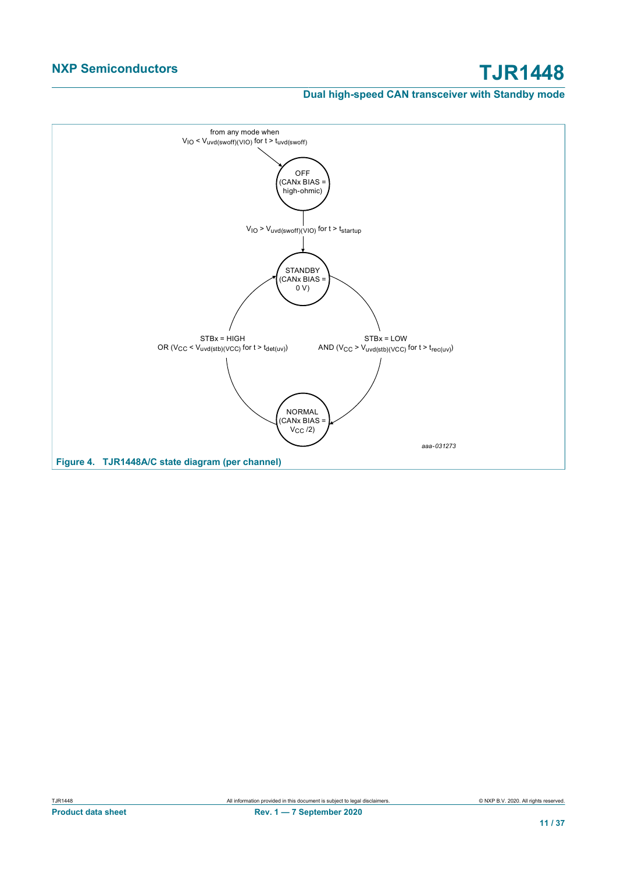## **Dual high-speed CAN transceiver with Standby mode**

<span id="page-10-0"></span>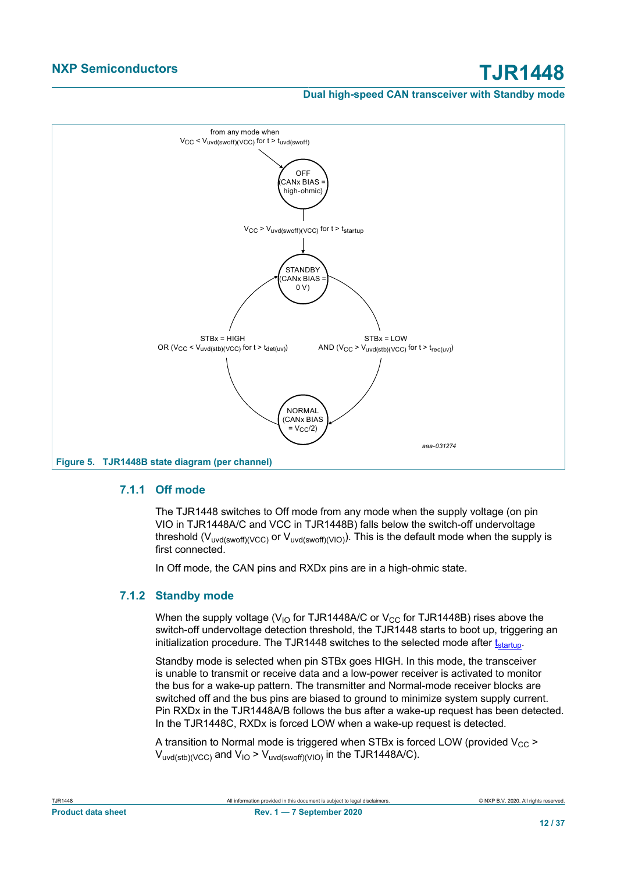<span id="page-11-0"></span>

### **7.1.1 Off mode**

<span id="page-11-2"></span>The TJR1448 switches to Off mode from any mode when the supply voltage (on pin VIO in TJR1448A/C and VCC in TJR1448B) falls below the switch-off undervoltage threshold ( $V_{uvd(swoff)/VCC}$ ) or  $V_{uvd(swoff)/VIO}$ ). This is the default mode when the supply is first connected.

<span id="page-11-3"></span>In Off mode, the CAN pins and RXDx pins are in a high-ohmic state.

## **7.1.2 Standby mode**

<span id="page-11-1"></span>When the supply voltage ( $V_{10}$  for TJR1448A/C or  $V_{CC}$  for TJR1448B) rises above the switch-off undervoltage detection threshold, the TJR1448 starts to boot up, triggering an initialization procedure. The TJR1448 switches to the selected mode after  $t_{\text{start}}$ 

Standby mode is selected when pin STBx goes HIGH. In this mode, the transceiver is unable to transmit or receive data and a low-power receiver is activated to monitor the bus for a wake-up pattern. The transmitter and Normal-mode receiver blocks are switched off and the bus pins are biased to ground to minimize system supply current. Pin RXDx in the TJR1448A/B follows the bus after a wake-up request has been detected. In the TJR1448C, RXDx is forced LOW when a wake-up request is detected.

A transition to Normal mode is triggered when STBx is forced LOW (provided  $V_{CC}$  >  $V_{\text{uvd(stb)}(VCC)}$  and  $V_{\text{IO}}$  >  $V_{\text{uvd(swoff)}(VIO)}$  in the TJR1448A/C).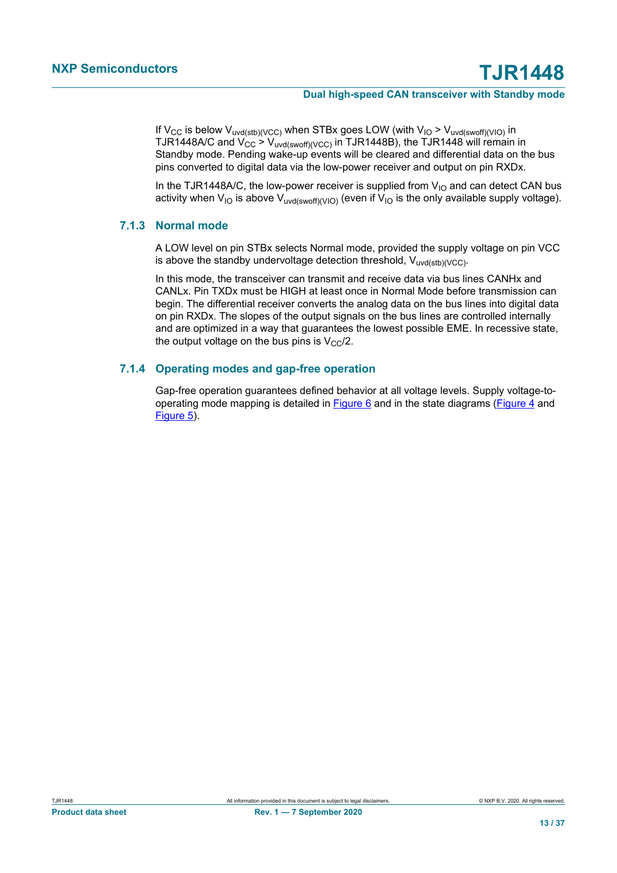If V<sub>CC</sub> is below V<sub>uvd(stb)(VCC)</sub> when STBx goes LOW (with V<sub>IO</sub> > V<sub>uvd(swoff)(VIO)</sub> in TJR1448A/C and  $V_{CC} > V_{uvd(swoff)/(VCC)}$  in TJR1448B), the TJR1448 will remain in Standby mode. Pending wake-up events will be cleared and differential data on the bus pins converted to digital data via the low-power receiver and output on pin RXDx.

In the TJR1448A/C, the low-power receiver is supplied from  $V_{10}$  and can detect CAN bus activity when  $V_{10}$  is above  $V_{uvd(swoff)(V|O)}$  (even if  $V_{10}$  is the only available supply voltage).

### **7.1.3 Normal mode**

<span id="page-12-0"></span>A LOW level on pin STBx selects Normal mode, provided the supply voltage on pin VCC is above the standby undervoltage detection threshold,  $V_{uvd(stb)}$ (vcc).

In this mode, the transceiver can transmit and receive data via bus lines CANHx and CANLx. Pin TXDx must be HIGH at least once in Normal Mode before transmission can begin. The differential receiver converts the analog data on the bus lines into digital data on pin RXDx. The slopes of the output signals on the bus lines are controlled internally and are optimized in a way that guarantees the lowest possible EME. In recessive state, the output voltage on the bus pins is  $V_{CC}/2$ .

### **7.1.4 Operating modes and gap-free operation**

<span id="page-12-1"></span>Gap-free operation guarantees defined behavior at all voltage levels. Supply voltage-tooperating mode mapping is detailed in [Figure 6](#page-13-0) and in the state diagrams [\(Figure 4](#page-10-0) and [Figure 5\)](#page-11-0).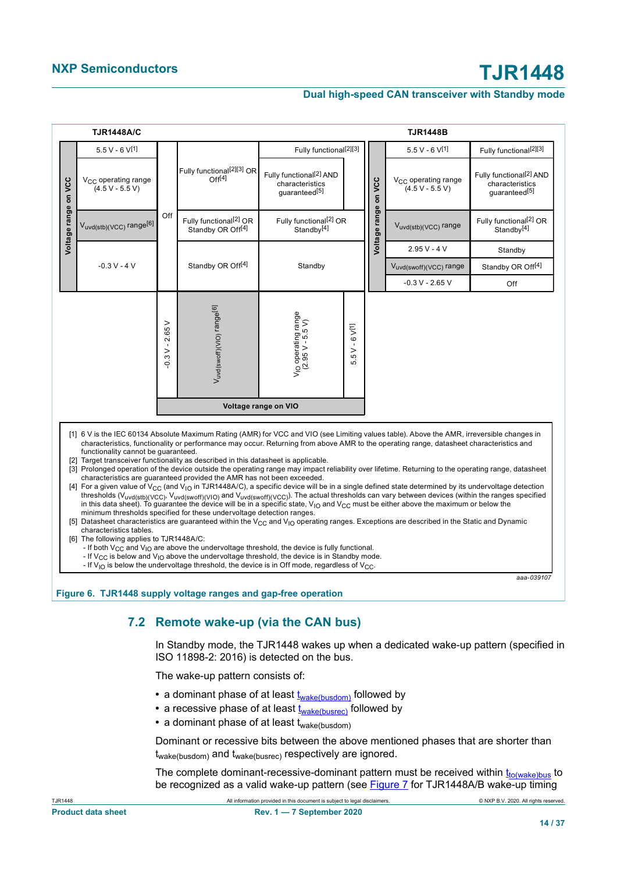<span id="page-13-0"></span>

|                      | <b>TJR1448A/C</b>                                                                                          |                               |                                                                                                                                                                                                                                       |                                                                                                                                                                                                                                                                                                                                      |                                     |                      | <b>TJR1448B</b>                                                                                                                                                                                                                                                                                                                                                                                                                                                                                                                                                                                                                                                                                                                                                                                                                                                                                                                                                                                                                                                                                    |                                                                         |
|----------------------|------------------------------------------------------------------------------------------------------------|-------------------------------|---------------------------------------------------------------------------------------------------------------------------------------------------------------------------------------------------------------------------------------|--------------------------------------------------------------------------------------------------------------------------------------------------------------------------------------------------------------------------------------------------------------------------------------------------------------------------------------|-------------------------------------|----------------------|----------------------------------------------------------------------------------------------------------------------------------------------------------------------------------------------------------------------------------------------------------------------------------------------------------------------------------------------------------------------------------------------------------------------------------------------------------------------------------------------------------------------------------------------------------------------------------------------------------------------------------------------------------------------------------------------------------------------------------------------------------------------------------------------------------------------------------------------------------------------------------------------------------------------------------------------------------------------------------------------------------------------------------------------------------------------------------------------------|-------------------------------------------------------------------------|
|                      | $5.5 V - 6 V^{[1]}$                                                                                        |                               |                                                                                                                                                                                                                                       | Fully functional <sup>[2][3]</sup>                                                                                                                                                                                                                                                                                                   |                                     |                      | $5.5 V - 6 V^{[1]}$                                                                                                                                                                                                                                                                                                                                                                                                                                                                                                                                                                                                                                                                                                                                                                                                                                                                                                                                                                                                                                                                                | Fully functional <sup>[2][3]</sup>                                      |
| Voltage range on VCC | V <sub>CC</sub> operating range<br>$(4.5 V - 5.5 V)$                                                       |                               | Fully functional <sup>[2][3]</sup> OR<br>Off[4]                                                                                                                                                                                       | Fully functional <sup>[2]</sup> AND<br>characteristics<br>quaranteed[5]                                                                                                                                                                                                                                                              |                                     |                      | V <sub>CC</sub> operating range<br>$(4.5 V - 5.5 V)$                                                                                                                                                                                                                                                                                                                                                                                                                                                                                                                                                                                                                                                                                                                                                                                                                                                                                                                                                                                                                                               | Fully functional <sup>[2]</sup> AND<br>characteristics<br>quaranteed[5] |
|                      | Vuvd(stb)(VCC) range[6]                                                                                    | Off                           | Fully functional <sup>[2]</sup> OR<br>Standby OR Off <sup>[4]</sup>                                                                                                                                                                   | Fully functional <sup>[2]</sup> OR<br>Standby <sup>[4]</sup>                                                                                                                                                                                                                                                                         |                                     | Voltage range on VCC | V <sub>uvd(stb)</sub> (VCC) range                                                                                                                                                                                                                                                                                                                                                                                                                                                                                                                                                                                                                                                                                                                                                                                                                                                                                                                                                                                                                                                                  | Fully functional <sup>[2]</sup> OR<br>Standby <sup>[4]</sup>            |
|                      |                                                                                                            |                               |                                                                                                                                                                                                                                       |                                                                                                                                                                                                                                                                                                                                      |                                     |                      | $2.95V - 4V$                                                                                                                                                                                                                                                                                                                                                                                                                                                                                                                                                                                                                                                                                                                                                                                                                                                                                                                                                                                                                                                                                       | Standby                                                                 |
|                      | $-0.3 V - 4 V$                                                                                             |                               | Standby OR Off <sup>[4]</sup>                                                                                                                                                                                                         | Standby                                                                                                                                                                                                                                                                                                                              |                                     |                      | Vuvd(swoff)(VCC) range                                                                                                                                                                                                                                                                                                                                                                                                                                                                                                                                                                                                                                                                                                                                                                                                                                                                                                                                                                                                                                                                             | Standby OR Off <sup>[4]</sup>                                           |
|                      |                                                                                                            |                               |                                                                                                                                                                                                                                       |                                                                                                                                                                                                                                                                                                                                      |                                     |                      | $-0.3 V - 2.65 V$                                                                                                                                                                                                                                                                                                                                                                                                                                                                                                                                                                                                                                                                                                                                                                                                                                                                                                                                                                                                                                                                                  | Off                                                                     |
|                      |                                                                                                            | $\rm{~}$<br>2.65<br>$-0.3V -$ | Vuvd(swoff)(VIO) range[6]                                                                                                                                                                                                             | $V_{\text{IO}}$ operating range<br>(2.95 V - 5.5 V)                                                                                                                                                                                                                                                                                  | $5V - 6V$ <sup>[1]</sup><br>.<br>ما |                      |                                                                                                                                                                                                                                                                                                                                                                                                                                                                                                                                                                                                                                                                                                                                                                                                                                                                                                                                                                                                                                                                                                    |                                                                         |
|                      |                                                                                                            |                               |                                                                                                                                                                                                                                       | Voltage range on VIO                                                                                                                                                                                                                                                                                                                 |                                     |                      |                                                                                                                                                                                                                                                                                                                                                                                                                                                                                                                                                                                                                                                                                                                                                                                                                                                                                                                                                                                                                                                                                                    |                                                                         |
|                      | functionality cannot be quaranteed.<br>characteristics tables.<br>[6] The following applies to TJR1448A/C: |                               | [2] Target transceiver functionality as described in this datasheet is applicable.<br>characteristics are guaranteed provided the AMR has not been exceeded.<br>minimum thresholds specified for these undervoltage detection ranges. | - If both $V_{CC}$ and $V_{IO}$ are above the undervoltage threshold, the device is fully functional.<br>- If $V_{CC}$ is below and $V_{IO}$ above the undervoltage threshold, the device is in Standby mode.<br>- If $V_{\text{IO}}$ is below the undervoltage threshold, the device is in Off mode, regardless of $V_{\text{C}}$ . |                                     |                      | [1] 6 V is the IEC 60134 Absolute Maximum Rating (AMR) for VCC and VIO (see Limiting values table). Above the AMR, irreversible changes in<br>characteristics, functionality or performance may occur. Returning from above AMR to the operating range, datasheet characteristics and<br>[3] Prolonged operation of the device outside the operating range may impact reliability over lifetime. Returning to the operating range, datasheet<br>[4] For a given value of V <sub>CC</sub> (and V <sub>IO</sub> in TJR1448A/C), a specific device will be in a single defined state determined by its undervoltage detection<br>thresholds (Vuvd(stb)(VCC), Vuvd(swoff)(VIO) and Vuvd(swoff)(VCC)). The actual thresholds can vary between devices (within the ranges specified<br>in this data sheet). To quarantee the device will be in a specific state, $V_{1O}$ and $V_{CC}$ must be either above the maximum or below the<br>[5] Datasheet characteristics are guaranteed within the V <sub>CC</sub> and V <sub>IO</sub> operating ranges. Exceptions are described in the Static and Dynamic |                                                                         |

# **7.2 Remote wake-up (via the CAN bus)**

<span id="page-13-4"></span>In Standby mode, the TJR1448 wakes up when a dedicated wake-up pattern (specified in ISO 11898-2: 2016) is detected on the bus.

The wake-up pattern consists of:

- <span id="page-13-1"></span>• a dominant phase of at least  $\underline{t_{\text{wake}(busdom)}}$  followed by
- <span id="page-13-2"></span>• a recessive phase of at least t<sub>[wake\(busrec\)](#page-21-3)</sub> followed by
- a dominant phase of at least t<sub>wake(busdom)</sub>

Dominant or recessive bits between the above mentioned phases that are shorter than twake(busdom) and twake(busrec) respectively are ignored.

<span id="page-13-3"></span>The complete dominant-recessive-dominant pattern must be received within  $t_{to(wake)bus}$  $t_{to(wake)bus}$  $t_{to(wake)bus}$  to be recognized as a valid wake-up pattern (see [Figure 7](#page-14-0) for TJR1448A/B wake-up timing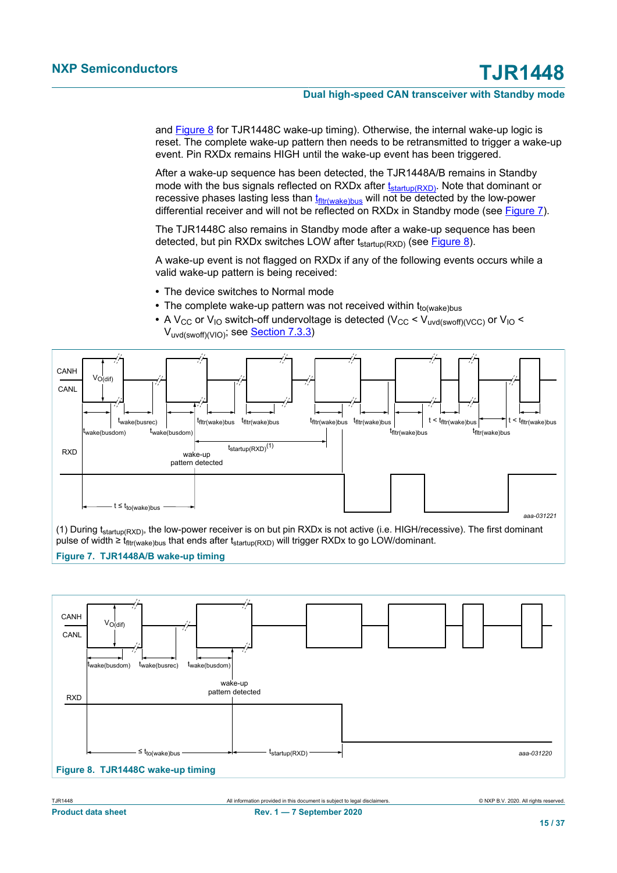and **Figure 8** for TJR1448C wake-up timing). Otherwise, the internal wake-up logic is reset. The complete wake-up pattern then needs to be retransmitted to trigger a wake-up event. Pin RXDx remains HIGH until the wake-up event has been triggered.

<span id="page-14-3"></span><span id="page-14-2"></span>After a wake-up sequence has been detected, the TJR1448A/B remains in Standby mode with the bus signals reflected on RXDx after  $t_{\text{startup(RXD)}}$  $t_{\text{startup(RXD)}}$  $t_{\text{startup(RXD)}}$ . Note that dominant or recessive phases lasting less than  $t_{\text{fitr}(\text{wake})bus}$  will not be detected by the low-power differential receiver and will not be reflected on RXDx in Standby mode (see [Figure 7](#page-14-0)).

The TJR1448C also remains in Standby mode after a wake-up sequence has been detected, but pin RXDx switches LOW after  $t_{\text{startup}(RXD)}$  (see [Figure 8](#page-14-1)).

A wake-up event is not flagged on RXDx if any of the following events occurs while a valid wake-up pattern is being received:

- **•** The device switches to Normal mode
- The complete wake-up pattern was not received within t<sub>to(wake)bus</sub>
- A V<sub>CC</sub> or V<sub>IO</sub> switch-off undervoltage is detected (V<sub>CC</sub> < V<sub>uvd(swoff)(VCC)</sub> or V<sub>IO</sub> < Vuvd(swoff)(VIO); see [Section 7.3.3](#page-15-0))

<span id="page-14-0"></span>

(1) During  $t_{startup(RXD)}$ , the low-power receiver is on but pin RXDx is not active (i.e. HIGH/recessive). The first dominant pulse of width ≥ t<sub>fltr(wake)bus</sub> that ends after t<sub>startup(RXD)</sub> will trigger RXDx to go LOW/dominant.

#### **Figure 7. TJR1448A/B wake-up timing**

<span id="page-14-1"></span>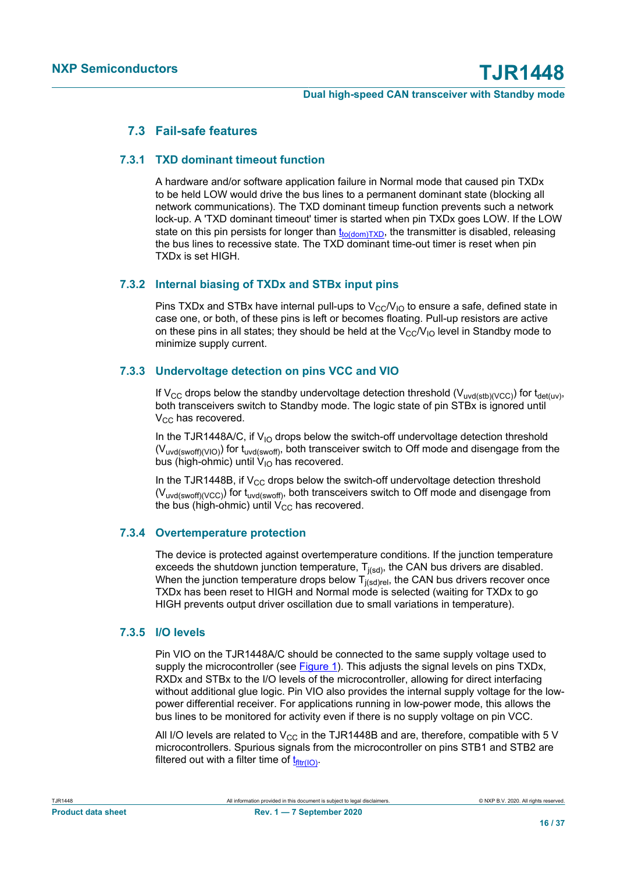## <span id="page-15-3"></span>**7.3 Fail-safe features**

### **7.3.1 TXD dominant timeout function**

<span id="page-15-4"></span><span id="page-15-1"></span>A hardware and/or software application failure in Normal mode that caused pin TXDx to be held LOW would drive the bus lines to a permanent dominant state (blocking all network communications). The TXD dominant timeup function prevents such a network lock-up. A 'TXD dominant timeout' timer is started when pin TXDx goes LOW. If the LOW state on this pin persists for longer than  $t_{\text{totdomTXD}}$ , the transmitter is disabled, releasing the bus lines to recessive state. The TXD dominant time-out timer is reset when pin TXDx is set HIGH.

## **7.3.2 Internal biasing of TXDx and STBx input pins**

<span id="page-15-5"></span>Pins TXDx and STBx have internal pull-ups to  $V_{CC}/V_{10}$  to ensure a safe, defined state in case one, or both, of these pins is left or becomes floating. Pull-up resistors are active on these pins in all states; they should be held at the  $V_{\rm CC}/V_{\rm IO}$  level in Standby mode to minimize supply current.

### **7.3.3 Undervoltage detection on pins VCC and VIO**

<span id="page-15-0"></span>If V<sub>CC</sub> drops below the standby undervoltage detection threshold (V<sub>uvd(stb)(VCC</sub>)) for t<sub>det(uv)</sub>, both transceivers switch to Standby mode. The logic state of pin STBx is ignored until  $V_{CC}$  has recovered.

In the TJR1448A/C, if  $V_{10}$  drops below the switch-off undervoltage detection threshold  $(V<sub>uvd(swoff)(V|O)</sub>$ ) for  $t<sub>uvd(swoff)</sub>$ </sub>, both transceiver switch to Off mode and disengage from the bus (high-ohmic) until  $V_{10}$  has recovered.

In the TJR1448B, if  $V_{CC}$  drops below the switch-off undervoltage detection threshold (Vuvd(swoff)(VCC)) for tuvd(swoff), both transceivers switch to Off mode and disengage from the bus (high-ohmic) until  $V_{CC}$  has recovered.

### **7.3.4 Overtemperature protection**

<span id="page-15-6"></span>The device is protected against overtemperature conditions. If the junction temperature exceeds the shutdown junction temperature,  $T_{j(sd)}$ , the CAN bus drivers are disabled. When the junction temperature drops below  $T_{j(sd)rel}$ , the CAN bus drivers recover once TXDx has been reset to HIGH and Normal mode is selected (waiting for TXDx to go HIGH prevents output driver oscillation due to small variations in temperature).

### **7.3.5 I/O levels**

<span id="page-15-7"></span>Pin VIO on the TJR1448A/C should be connected to the same supply voltage used to supply the microcontroller (see Figure 1). This adjusts the signal levels on pins TXDx, RXDx and STBx to the I/O levels of the microcontroller, allowing for direct interfacing without additional glue logic. Pin VIO also provides the internal supply voltage for the lowpower differential receiver. For applications running in low-power mode, this allows the bus lines to be monitored for activity even if there is no supply voltage on pin VCC.

<span id="page-15-2"></span>All I/O levels are related to  $V_{CC}$  in the TJR1448B and are, therefore, compatible with 5 V microcontrollers. Spurious signals from the microcontroller on pins STB1 and STB2 are filtered out with a filter time of  $t_{\text{fitr}(10)}$ .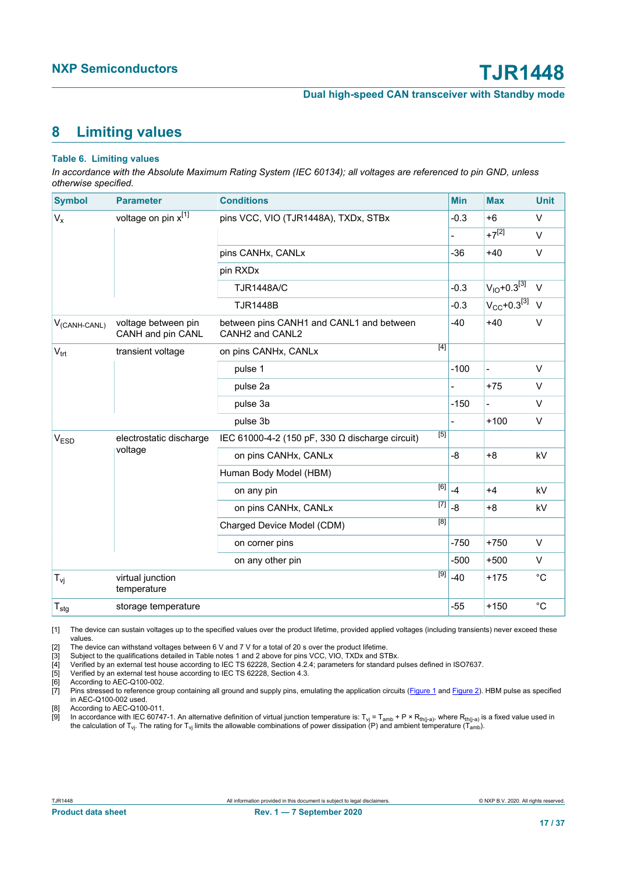# <span id="page-16-9"></span><span id="page-16-2"></span>**8 Limiting values**

#### <span id="page-16-1"></span><span id="page-16-0"></span>**Table 6. Limiting values**

<span id="page-16-5"></span><span id="page-16-4"></span><span id="page-16-3"></span>*In accordance with the Absolute Maximum Rating System (IEC 60134); all voltages are referenced to pin GND, unless otherwise specified.*

<span id="page-16-8"></span><span id="page-16-7"></span><span id="page-16-6"></span>

| <b>Symbol</b>             | <b>Parameter</b>                         | <b>Conditions</b>                                           |     | <b>Min</b>          | <b>Max</b>                   | <b>Unit</b> |
|---------------------------|------------------------------------------|-------------------------------------------------------------|-----|---------------------|------------------------------|-------------|
|                           |                                          |                                                             |     |                     |                              |             |
| $V_{x}$                   | voltage on pin x[1]                      | pins VCC, VIO (TJR1448A), TXDx, STBx                        |     | $-0.3$              | $+6$                         | V           |
|                           |                                          |                                                             |     |                     | $+7^{[2]}$                   | $\vee$      |
|                           |                                          | pins CANHx, CANLx                                           |     | $-36$               | $+40$                        | $\vee$      |
|                           |                                          | pin RXDx                                                    |     |                     |                              |             |
|                           |                                          | <b>TJR1448A/C</b>                                           |     | $-0.3$              | $V_{IO} + 0.3^{[3]}$         | $\vee$      |
|                           |                                          | <b>TJR1448B</b>                                             |     | $-0.3$              | $V_{CC}$ +0.3 <sup>[3]</sup> | $\vee$      |
| V <sub>(CANH-CANL)</sub>  | voltage between pin<br>CANH and pin CANL | between pins CANH1 and CANL1 and between<br>CANH2 and CANL2 |     | $-40$               | $+40$                        | $\vee$      |
| $V_{\text{trt}}$          | transient voltage                        | on pins CANHx, CANLx                                        | [4] |                     |                              |             |
|                           |                                          | pulse 1                                                     |     | $-100$              | $\overline{a}$               | $\vee$      |
|                           |                                          | pulse 2a                                                    |     |                     | $+75$                        | $\vee$      |
|                           |                                          | pulse 3a                                                    |     | $-150$              | $\overline{a}$               | $\vee$      |
|                           |                                          | pulse 3b                                                    |     | $\overline{a}$      | $+100$                       | V           |
| $V_{ESD}$                 | electrostatic discharge                  | IEC 61000-4-2 (150 pF, 330 $\Omega$ discharge circuit)      | [5] |                     |                              |             |
|                           | voltage                                  | on pins CANHx, CANLx                                        |     | -8                  | $+8$                         | kV          |
|                           |                                          | Human Body Model (HBM)                                      |     |                     |                              |             |
|                           |                                          | on any pin                                                  | [6] | $-4$                | $+4$                         | kV          |
|                           |                                          | on pins CANHx, CANLx                                        |     | $\overline{[7]}$ -8 | $+8$                         | kV          |
|                           |                                          | Charged Device Model (CDM)                                  | [8] |                     |                              |             |
|                           |                                          | on corner pins                                              |     | $-750$              | $+750$                       | $\vee$      |
|                           |                                          | on any other pin                                            |     | $-500$              | $+500$                       | V           |
| $T_{\mathsf{vj}}$         | virtual junction<br>temperature          |                                                             |     | $-40$               | $+175$                       | $^{\circ}C$ |
| $\mathsf{T}_{\text{stg}}$ | storage temperature                      |                                                             |     | $-55$               | $+150$                       | $^{\circ}C$ |

[1] The device can sustain voltages up to the specified values over the product lifetime, provided applied voltages (including transients) never exceed these values.

[2] The device can withstand voltages between 6 V and 7 V for a total of 20 s over the product lifetime.

[3] Subject to the qualifications detailed in Table notes 1 and 2 above for pins VCC, VIO, TXDx and STBx.

[4] Verified by an external test house according to IEC TS 62228, Section 4.2.4; parameters for standard pulses defined in ISO7637.

[5] Verified by an external test house according to IEC TS 62228, Section 4.3.

[6] According to AEC-Q100-002.<br>[7] Pins stressed to reference gra Pins stressed to reference group containing all ground and supply pins, emulating the application circuits (Figure 1 and Figure 2). HBM pulse as specified in AEC-Q100-002 used.

[8] According to AEC-Q100-011.

[9] In accordance with IEC 60747-1. An alternative definition of virtual junction temperature is: T<sub>vj</sub> = T<sub>amb</sub> + P × R<sub>th(j-a)</sub>, where R<sub>th(j-a)</sub> is a fixed value used in the calculation of T<sub>vj</sub>. The rating for T<sub>vj</sub> limits the allowable combinations of power dissipation (P) and ambient temperature (T<sub>amb</sub>).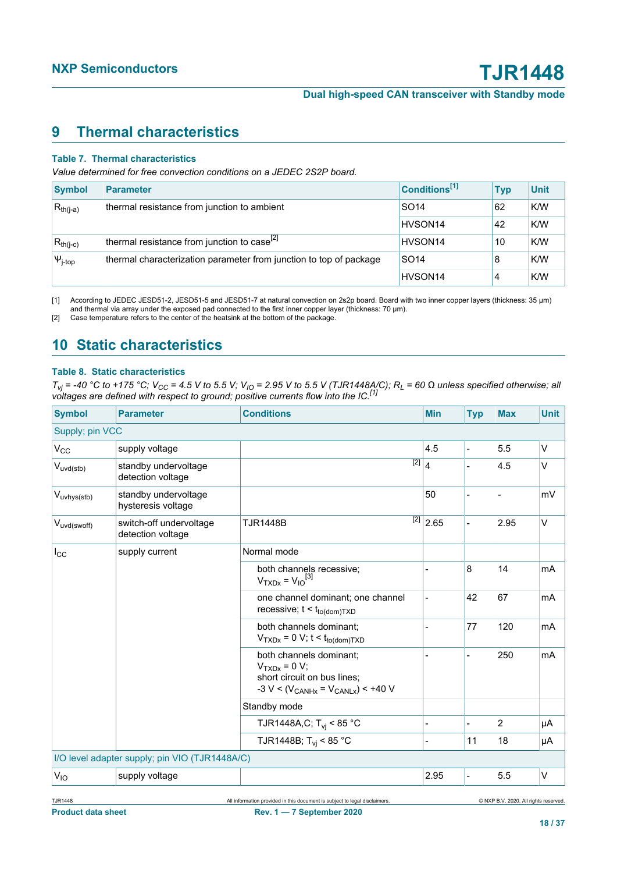# <span id="page-17-2"></span><span id="page-17-0"></span>**9 Thermal characteristics**

#### <span id="page-17-1"></span>**Table 7. Thermal characteristics**

*Value determined for free convection conditions on a JEDEC 2S2P board.*

| <b>Symbol</b>  | <b>Parameter</b>                                                   | Conditions <sup>[1]</sup> | <b>Typ</b> | <b>Unit</b> |
|----------------|--------------------------------------------------------------------|---------------------------|------------|-------------|
| $R_{th(j-a)}$  | thermal resistance from junction to ambient                        | SO <sub>14</sub>          | 62         | K/W         |
|                |                                                                    | HVSON <sub>14</sub>       | 42         | K/W         |
| $R_{th(j-c)}$  | thermal resistance from junction to case <sup>[2]</sup>            | HVSON <sub>14</sub>       | 10         | K/W         |
| $\Psi_{j-top}$ | thermal characterization parameter from junction to top of package | SO <sub>14</sub>          | 8          | K/W         |
|                |                                                                    | HVSON <sub>14</sub>       |            | K/W         |

[1] According to JEDEC JESD51-2, JESD51-5 and JESD51-7 at natural convection on 2s2p board. Board with two inner copper layers (thickness: 35 μm) and thermal via array under the exposed pad connected to the first inner copper layer (thickness: 70 μm).

[2] Case temperature refers to the center of the heatsink at the bottom of the package.

# <span id="page-17-3"></span>**10 Static characteristics**

#### **Table 8. Static characteristics**

T<sub>vj</sub> = -40 °C to +175 °C; V<sub>CC</sub> = 4.5 V to 5.5 V; V<sub>IO</sub> = 2.95 V to 5.5 V (TJR1448A/C); R<sub>L</sub> = 60 Ω unless specified otherwise; all<br>voltages are defined with respect to ground; positive currents flow into the IC.<sup>[\[1\]](#page-20-0)</sup>

| <b>Symbol</b>           | <b>Parameter</b>                               | <b>Conditions</b>                                                                                                    | <b>Min</b>     | <b>Typ</b>               | <b>Max</b>     | <b>Unit</b> |
|-------------------------|------------------------------------------------|----------------------------------------------------------------------------------------------------------------------|----------------|--------------------------|----------------|-------------|
| Supply; pin VCC         |                                                |                                                                                                                      |                |                          |                |             |
| $V_{CC}$                | supply voltage                                 |                                                                                                                      | 4.5            | $\overline{\phantom{a}}$ | 5.5            | V           |
| $V_{uvd(stb)}$          | standby undervoltage<br>detection voltage      | $[2]$                                                                                                                | $\overline{4}$ |                          | 4.5            | V           |
| V <sub>uvhys(stb)</sub> | standby undervoltage<br>hysteresis voltage     |                                                                                                                      | 50             |                          |                | mV          |
| $V_{uvd(swoff)}$        | switch-off undervoltage<br>detection voltage   | $[2]$<br><b>TJR1448B</b>                                                                                             | 2.65           |                          | 2.95           | V           |
| $I_{\rm CC}$            | supply current                                 | Normal mode                                                                                                          |                |                          |                |             |
|                         |                                                | both channels recessive;<br>$V_{TXDx} = V_{10}^{[3]}$                                                                |                | 8                        | 14             | mA          |
|                         |                                                | one channel dominant; one channel<br>recessive; $t < t_{to(dom)TXD}$                                                 |                | 42                       | 67             | mA          |
|                         |                                                | both channels dominant;<br>$VTXDX = 0 V; t < tto(dom)TXD$                                                            |                | 77                       | 120            | mA          |
|                         |                                                | both channels dominant:<br>$VTXDX = 0 V;$<br>short circuit on bus lines;<br>$-3 V < (V_{CANHx} = V_{CANLx}) < +40 V$ |                |                          | 250            | mA          |
|                         |                                                | Standby mode                                                                                                         |                |                          |                |             |
|                         |                                                | TJR1448A,C; $T_{vj}$ < 85 °C                                                                                         |                |                          | $\overline{2}$ | μA          |
|                         |                                                | TJR1448B; $T_{vi}$ < 85 °C                                                                                           |                | 11                       | 18             | μA          |
|                         | I/O level adapter supply; pin VIO (TJR1448A/C) |                                                                                                                      |                |                          |                |             |
| $V_{IO}$                | supply voltage                                 |                                                                                                                      | 2.95           | $\overline{\phantom{a}}$ | 5.5            | V           |

TJR1448 All information provided in this document is subject to legal disclaimers. © NXP B.V. 2020. All rights reserved.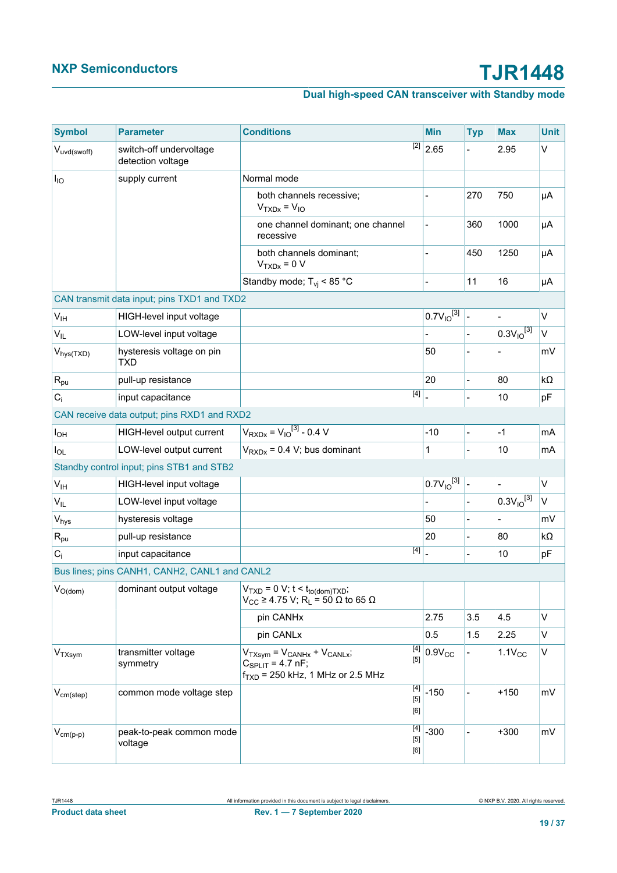# **Dual high-speed CAN transceiver with Standby mode**

| <b>Symbol</b>         | <b>Parameter</b>                              | <b>Conditions</b>                                                                                                                       | <b>Min</b>            | <b>Typ</b>               | <b>Max</b>               | <b>Unit</b> |
|-----------------------|-----------------------------------------------|-----------------------------------------------------------------------------------------------------------------------------------------|-----------------------|--------------------------|--------------------------|-------------|
| Vuvd(swoff)           | switch-off undervoltage<br>detection voltage  |                                                                                                                                         | $\overline{[2]}$ 2.65 |                          | 2.95                     | $\vee$      |
| $I_{IO}$              | supply current                                | Normal mode                                                                                                                             |                       |                          |                          |             |
|                       |                                               | both channels recessive;<br>$VTXDX = VIO$                                                                                               |                       | 270                      | 750                      | μA          |
|                       |                                               | one channel dominant; one channel<br>recessive                                                                                          | $\frac{1}{2}$         | 360                      | 1000                     | μA          |
|                       |                                               | both channels dominant;<br>$VTXDX = 0 V$                                                                                                |                       | 450                      | 1250                     | μA          |
|                       |                                               | Standby mode; $T_{vi}$ < 85 °C                                                                                                          |                       | 11                       | 16                       | μA          |
|                       | CAN transmit data input; pins TXD1 and TXD2   |                                                                                                                                         |                       |                          |                          |             |
| V <sub>IH</sub>       | HIGH-level input voltage                      |                                                                                                                                         | $0.7V_{10}^{[3]}$     | $\overline{\phantom{a}}$ | $\qquad \qquad -$        | V           |
| $V_{IL}$              | LOW-level input voltage                       |                                                                                                                                         |                       |                          | $0.3V_{10}^{3}$          | $\vee$      |
| $V_{hys(TXD)}$        | hysteresis voltage on pin<br>TXD              |                                                                                                                                         | 50                    |                          |                          | mV          |
| $R_{\text{pu}}$       | pull-up resistance                            |                                                                                                                                         | 20                    | $\overline{a}$           | 80                       | kΩ          |
| $C_i$                 | input capacitance                             | $[4]$                                                                                                                                   |                       |                          | 10                       | pF          |
|                       | CAN receive data output; pins RXD1 and RXD2   |                                                                                                                                         |                       |                          |                          |             |
| $I_{OH}$              | HIGH-level output current                     | $V_{RXDx} = V_{10}^{[3]} - 0.4 V$                                                                                                       | $-10$                 |                          | $-1$                     | mA          |
| $I_{OL}$              | LOW-level output current                      | $V_{RXDx} = 0.4 V$ ; bus dominant                                                                                                       | $\mathbf{1}$          |                          | 10                       | mA          |
|                       | Standby control input; pins STB1 and STB2     |                                                                                                                                         |                       |                          |                          |             |
| V <sub>IH</sub>       | HIGH-level input voltage                      |                                                                                                                                         | $0.7V_{10}^{[3]}$     | $\blacksquare$           | $\overline{\phantom{a}}$ | V           |
| $V_{IL}$              | LOW-level input voltage                       |                                                                                                                                         |                       |                          | $0.3V_{10}^{[3]}$        | $\vee$      |
| $V_{\text{hys}}$      | hysteresis voltage                            |                                                                                                                                         | 50                    |                          |                          | mV          |
| $R_{\text{pu}}$       | pull-up resistance                            |                                                                                                                                         | 20                    |                          | 80                       | kΩ          |
| $C_i$                 | input capacitance                             | [4]                                                                                                                                     |                       | $\overline{a}$           | 10                       | pF          |
|                       | Bus lines; pins CANH1, CANH2, CANL1 and CANL2 |                                                                                                                                         |                       |                          |                          |             |
| $V_{O(\mathsf{dom})}$ | dominant output voltage                       | $ V_{TXD} = 0 V$ ; t < t <sub>to(dom)</sub> $TxD$ ;<br>$V_{CC} \ge 4.75$ V; R <sub>L</sub> = 50 $\Omega$ to 65 $\Omega$                 |                       |                          |                          |             |
|                       |                                               | pin CANHx                                                                                                                               | 2.75                  | 3.5                      | 4.5                      | $\vee$      |
|                       |                                               | pin CANLx                                                                                                                               | 0.5                   | 1.5                      | 2.25                     | V           |
| V <sub>TXsym</sub>    | transmitter voltage<br>symmetry               | $[4]$<br>$V_{TXsym} = V_{CANHx} + V_{CANLx}$<br>$[5]$<br>$C_{\text{SPLIT}} = 4.7 \text{ nF}$ ;<br>$f_{TXD}$ = 250 kHz, 1 MHz or 2.5 MHz | $0.9V_{CC}$           |                          | $1.1V_{CC}$              | V           |
| $V_{cm (step)}$       | common mode voltage step                      | $[5]$<br>[6]                                                                                                                            | $-150$                |                          | $+150$                   | mV          |
| $V_{cm(p-p)}$         | peak-to-peak common mode<br>voltage           | $[4]$<br>$[5]$<br>[6]                                                                                                                   | $-300$                |                          | $+300$                   | mV          |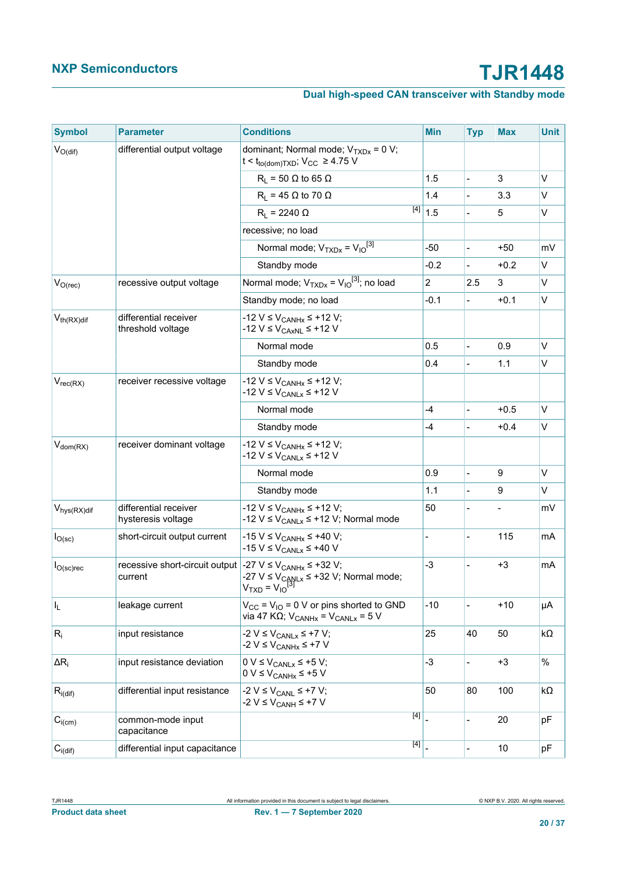# **Dual high-speed CAN transceiver with Standby mode**

| <b>Symbol</b>           | <b>Parameter</b>                                                                              | <b>Conditions</b>                                                                                                | <b>Min</b>                   | <b>Typ</b>     | <b>Max</b> | <b>Unit</b>  |
|-------------------------|-----------------------------------------------------------------------------------------------|------------------------------------------------------------------------------------------------------------------|------------------------------|----------------|------------|--------------|
| $V_{O(di)}$             | differential output voltage                                                                   | dominant; Normal mode; $V_{TXDx} = 0 V$ ;<br>t < t <sub>to(dom)</sub> T <sub>XD</sub> ; V <sub>CC</sub> ≥ 4.75 V |                              |                |            |              |
|                         |                                                                                               | $R_L$ = 50 $\Omega$ to 65 $\Omega$                                                                               | 1.5                          | $\overline{a}$ | 3          | $\vee$       |
|                         |                                                                                               | $R_L$ = 45 $\Omega$ to 70 $\Omega$                                                                               | 1.4                          | $\overline{a}$ | 3.3        | $\vee$       |
|                         |                                                                                               | [4]<br>$R_1 = 2240 \Omega$                                                                                       | 1.5                          | $\frac{1}{2}$  | 5          | V            |
|                         |                                                                                               | recessive; no load                                                                                               |                              |                |            |              |
|                         |                                                                                               | Normal mode; $V_{TXDx} = V_{10}^{3}$                                                                             | $-50$                        | $\overline{a}$ | $+50$      | mV           |
|                         |                                                                                               | Standby mode                                                                                                     | $-0.2$                       |                | $+0.2$     | $\vee$       |
| $V_{O(rec)}$            | recessive output voltage                                                                      | Normal mode; $V_{TXDx} = V_{1O}^{[3]}$ ; no load                                                                 | $\overline{2}$               | 2.5            | 3          | $\vee$       |
|                         |                                                                                               | Standby mode; no load                                                                                            | $-0.1$                       | $\blacksquare$ | $+0.1$     | V            |
| $V_{th(RX)diff}$        | differential receiver<br>threshold voltage                                                    | -12 V ≤ V <sub>CANHx</sub> ≤ +12 V;<br>-12 V ≤ V <sub>CAxNL</sub> ≤ +12 V                                        |                              |                |            |              |
|                         |                                                                                               | Normal mode                                                                                                      | 0.5                          |                | 0.9        | $\vee$       |
|                         |                                                                                               | Standby mode                                                                                                     | 0.4                          | $\overline{a}$ | 1.1        | V            |
| $V_{rec(RX)}$           | receiver recessive voltage                                                                    | -12 V ≤ V <sub>CANHx</sub> ≤ +12 V;<br>-12 $V \leq V_{CANLx} \leq +12 V$                                         |                              |                |            |              |
|                         |                                                                                               | Normal mode                                                                                                      | $-4$                         | $\overline{a}$ | $+0.5$     | $\vee$       |
|                         |                                                                                               | Standby mode                                                                                                     | -4                           |                | $+0.4$     | $\mathsf{V}$ |
| $V_{dom(RX)}$           | receiver dominant voltage                                                                     | -12 V ≤ V <sub>CANHx</sub> ≤ +12 V;<br>-12 $V \leq V_{\text{CANLx}} \leq +12 V$                                  |                              |                |            |              |
|                         |                                                                                               | Normal mode                                                                                                      | 0.9                          | $\overline{a}$ | 9          | $\vee$       |
|                         |                                                                                               | Standby mode                                                                                                     | 1.1                          |                | 9          | $\vee$       |
| $V_{\text{hys}(RX)$ dif | differential receiver<br>hysteresis voltage                                                   | -12 V ≤ V <sub>CANHx</sub> ≤ +12 V;<br>-12 V $\leq$ V <sub>CANLx</sub> $\leq$ +12 V; Normal mode                 | 50                           |                |            | mV           |
| $I_{O(\rm sc)}$         | short-circuit output current                                                                  | -15 V ≤ V <sub>CANHx</sub> ≤ +40 V;<br>-15 $V \leq V_{CANLx} \leq +40 V$                                         | $\qquad \qquad \blacksquare$ |                | 115        | mA           |
| $I_{O(\rm sc) \rm rec}$ | recessive short-circuit output $-27 \text{ V} \leq V_{CANHx} \leq +32 \text{ V}$ ;<br>current | -27 V $\leq$ V <sub>CANLx</sub> $\leq$ +32 V; Normal mode;<br>V <sub>TXD</sub> = V <sub>IO</sub> <sup>13</sup>   | $-3$                         |                | $+3$       | mA           |
| I <sub>L</sub>          | leakage current                                                                               | $V_{CC}$ = $V_{IO}$ = 0 V or pins shorted to GND<br>via 47 KQ; $V_{CANHx} = V_{CANLx} = 5 V$                     | $-10$                        |                | $+10$      | μA           |
| $R_i$                   | input resistance                                                                              | -2 $V \leq V_{CANLx} \leq +7 V;$<br>$-2 V \leq V_{CANHx} \leq +7 V$                                              | 25                           | 40             | 50         | kΩ           |
| $\Delta R_i$            | input resistance deviation                                                                    | $0 V \leq V_{CANLx} \leq +5 V;$<br>$0 V \leq V_{CANHx} \leq +5 V$                                                | $-3$                         | $\overline{a}$ | $+3$       | $\%$         |
| $R_{i(dif)}$            | differential input resistance                                                                 | -2 V ≤ V <sub>CANL</sub> ≤ +7 V;<br>-2 V ≤ V <sub>CANH</sub> ≤ +7 V                                              | 50                           | 80             | 100        | kΩ           |
| $C_{i(cm)}$             | common-mode input<br>capacitance                                                              | [4]                                                                                                              |                              |                | 20         | pF           |
| $C_{i(\text{dif})}$     | differential input capacitance                                                                | [4]                                                                                                              |                              |                | 10         | pF           |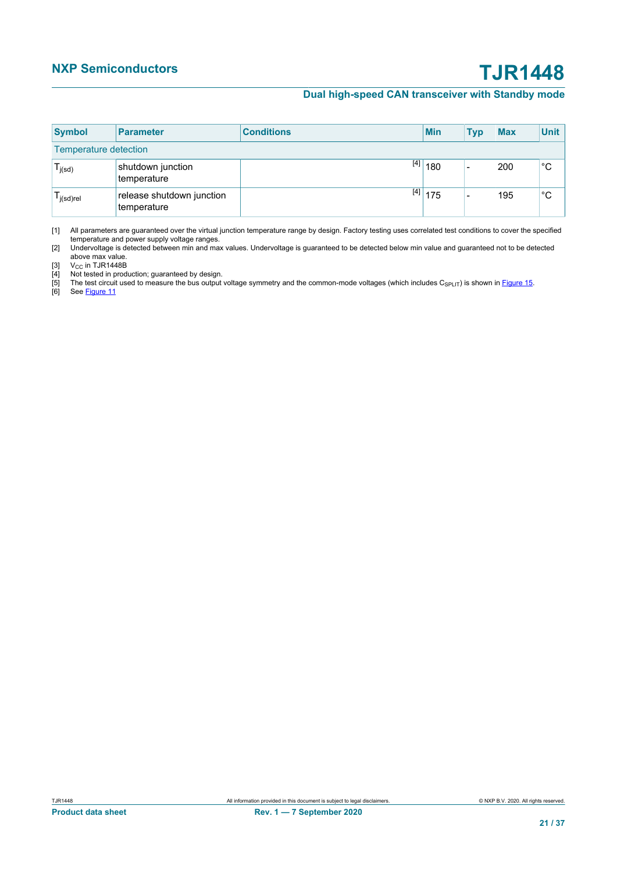### **Dual high-speed CAN transceiver with Standby mode**

<span id="page-20-3"></span><span id="page-20-2"></span><span id="page-20-1"></span><span id="page-20-0"></span>

| <b>Symbol</b>                | <b>Parameter</b>                         | <b>Conditions</b> | <b>Min</b> | Typ                      | <b>Max</b> | <b>Unit</b> |  |
|------------------------------|------------------------------------------|-------------------|------------|--------------------------|------------|-------------|--|
| <b>Temperature detection</b> |                                          |                   |            |                          |            |             |  |
| $T_{j(sd)}$                  | shutdown junction<br>temperature         | [4]               | 180        | $\overline{\phantom{0}}$ | 200        | $^{\circ}C$ |  |
| l j(sd)rel                   | release shutdown junction<br>temperature |                   | $[4]$ 175  | -                        | 195        | °С          |  |

<span id="page-20-5"></span><span id="page-20-4"></span>[1] All parameters are guaranteed over the virtual junction temperature range by design. Factory testing uses correlated test conditions to cover the specified temperature and power supply voltage ranges.

[2] Undervoltage is detected between min and max values. Undervoltage is guaranteed to be detected below min value and guaranteed not to be detected above max value.

[3] V<sub>CC</sub> in TJR1448B<br>[4] Not tested in production; guaranteed by design.

For the test circuit used.<br>[4] The test circuit used to measure the bus output voltage symmetry and the common-mode voltages (which includes C<sub>SPLIT</sub>) is shown in [Figure 15](#page-26-0).<br>[5] The test circuit used to measure the bus out

See [Figure 11](#page-23-0)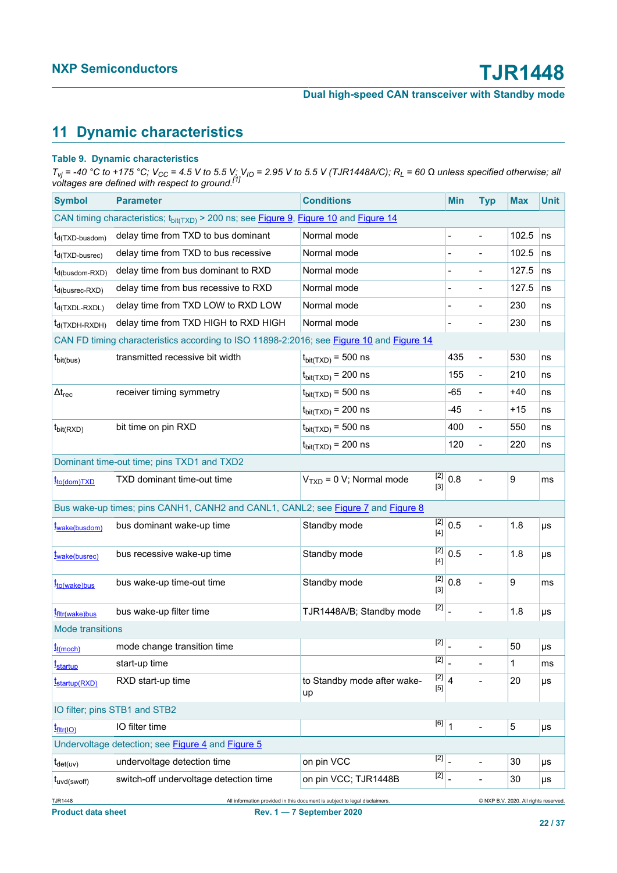# <span id="page-21-9"></span>**11 Dynamic characteristics**

### **Table 9. Dynamic characteristics**

T<sub>vj</sub> = -40 °C to +175 °C; V<sub>CC</sub> = 4.5 V to 5.5 V; V<sub>IO</sub> = 2.95 V to 5.5 V (TJR1448A/C); R<sub>L</sub> = 60 Ω unless specified otherwise; all<br>voltages are defined with respect to ground.<sup>[\[1\]](#page-22-0)</sup>

<span id="page-21-7"></span>

| <b>Symbol</b>                                                                                                                  | <b>Parameter</b>                                                                         | <b>Conditions</b>                                                           |                    | <b>Min</b>                | <b>Typ</b>               | <b>Max</b>       | <b>Unit</b> |
|--------------------------------------------------------------------------------------------------------------------------------|------------------------------------------------------------------------------------------|-----------------------------------------------------------------------------|--------------------|---------------------------|--------------------------|------------------|-------------|
| CAN timing characteristics; t <sub>bit(TXD)</sub> > 200 ns; see Figure 9, Figure 10 and Figure 14                              |                                                                                          |                                                                             |                    |                           |                          |                  |             |
| $t_{d(TXD-busdom)}$                                                                                                            | delay time from TXD to bus dominant                                                      | Normal mode                                                                 |                    |                           |                          | 102.5            | ns          |
| t <sub>d</sub> (TXD-busrec)                                                                                                    | delay time from TXD to bus recessive                                                     | Normal mode                                                                 |                    |                           |                          | 102.5            | ns          |
| t <sub>d</sub> (busdom-RXD)                                                                                                    | delay time from bus dominant to RXD                                                      | Normal mode                                                                 |                    |                           |                          | 127.5            | ns          |
| t <sub>d(busrec-RXD)</sub>                                                                                                     | delay time from bus recessive to RXD                                                     | Normal mode                                                                 |                    |                           | $\blacksquare$           | 127.5            | ns          |
| $t_{d(TXDL-RXDL)}$                                                                                                             | delay time from TXD LOW to RXD LOW                                                       | Normal mode                                                                 |                    |                           |                          | 230              | ns          |
| $t_{d(TXDH-RXDH)}$                                                                                                             | delay time from TXD HIGH to RXD HIGH                                                     | Normal mode                                                                 |                    |                           |                          | 230              | ns          |
|                                                                                                                                | CAN FD timing characteristics according to ISO 11898-2:2016; see Figure 10 and Figure 14 |                                                                             |                    |                           |                          |                  |             |
| $t_{\text{bit(bus)}}$                                                                                                          | transmitted recessive bit width                                                          | $t_{\text{bit(TXD)}}$ = 500 ns                                              |                    | 435                       | $\overline{a}$           | 530              | ns          |
|                                                                                                                                |                                                                                          | $t_{\text{bit(TXD)}}$ = 200 ns                                              |                    | 155                       | $\blacksquare$           | 210              | ns          |
| $\Delta t_{rec}$                                                                                                               | receiver timing symmetry                                                                 | $t_{\text{bit(TXD)}}$ = 500 ns                                              |                    | -65                       | $\frac{1}{2}$            | +40              | ns          |
|                                                                                                                                |                                                                                          | $t_{\text{bit(TXD)}}$ = 200 ns                                              |                    | $-45$                     | $\overline{\phantom{0}}$ | $+15$            | ns          |
| $t_{\text{bit(RXD)}}$                                                                                                          | bit time on pin RXD                                                                      | $t_{\text{bit(TXD)}}$ = 500 ns                                              |                    | 400                       |                          | 550              | ns          |
|                                                                                                                                |                                                                                          | $t_{\text{bit(TXD)}}$ = 200 ns                                              |                    | 120                       | $\overline{a}$           | 220              | ns          |
|                                                                                                                                | Dominant time-out time; pins TXD1 and TXD2                                               |                                                                             |                    |                           |                          |                  |             |
| t <sub>to(dom)TXD</sub>                                                                                                        | TXD dominant time-out time                                                               | $VTXD = 0 V; Normal mode$                                                   | $[3]$              | $\overline{[2]} \mid 0.8$ |                          | 9                | ms          |
|                                                                                                                                | Bus wake-up times; pins CANH1, CANH2 and CANL1, CANL2; see Figure 7 and Figure 8         |                                                                             |                    |                           |                          |                  |             |
| twake(busdom)                                                                                                                  | bus dominant wake-up time                                                                | Standby mode                                                                | $[2]$<br>[4]       | 0.5                       |                          | 1.8              | μs          |
| t <sub>wake(busrec)</sub>                                                                                                      | bus recessive wake-up time                                                               | [2]<br>Standby mode<br>$[4]$                                                |                    | 0.5                       |                          | 1.8              | μs          |
| to(wake)bus                                                                                                                    | bus wake-up time-out time                                                                | $[2]$<br>Standby mode<br>$[3]$                                              |                    | 0.8                       |                          | $\boldsymbol{9}$ | ms          |
| t <sub>fltr(wake)bus</sub>                                                                                                     | bus wake-up filter time                                                                  | $\begin{array}{ c c }\n\hline\n2 & \end{array}$<br>TJR1448A/B; Standby mode |                    |                           | $\overline{a}$           | 1.8              | $\mu s$     |
| <b>Mode transitions</b>                                                                                                        |                                                                                          |                                                                             |                    |                           |                          |                  |             |
| $t_{t(moch)}$                                                                                                                  | mode change transition time                                                              |                                                                             | [2]                |                           |                          | 50               | $\mu s$     |
| t <sub>startup</sub>                                                                                                           | start-up time                                                                            |                                                                             | $\boxed{2}$        |                           |                          | 1                | ms          |
| <i>t</i> startup(RXD)                                                                                                          | RXD start-up time                                                                        | $\overline{[2]}$ 4<br>to Standby mode after wake-<br>[5]<br>up              |                    |                           |                          | 20               | μs          |
| IO filter; pins STB1 and STB2                                                                                                  |                                                                                          |                                                                             |                    |                           |                          |                  |             |
| $t_{\text{fltr}(IO)}$                                                                                                          | IO filter time                                                                           |                                                                             | $\overline{[6]}$ 1 |                           |                          | 5                | μs          |
|                                                                                                                                | Undervoltage detection; see Figure 4 and Figure 5                                        |                                                                             |                    |                           |                          |                  |             |
| $t_{\text{det}(uv)}$                                                                                                           | undervoltage detection time                                                              | $\begin{array}{c c} \hline \text{2} & \end{array}$<br>on pin VCC            |                    |                           |                          | 30               | μs          |
| $t_{uvd(swoff)}$                                                                                                               | switch-off undervoltage detection time                                                   | on pin VCC; TJR1448B                                                        | $[2]$              |                           | -                        | 30               | μs          |
| TJR1448<br>All information provided in this document is subject to legal disclaimers.<br>@ NXP B.V. 2020. All rights reserved. |                                                                                          |                                                                             |                    |                           |                          |                  |             |

<span id="page-21-8"></span><span id="page-21-6"></span><span id="page-21-5"></span><span id="page-21-4"></span><span id="page-21-3"></span><span id="page-21-2"></span><span id="page-21-1"></span><span id="page-21-0"></span>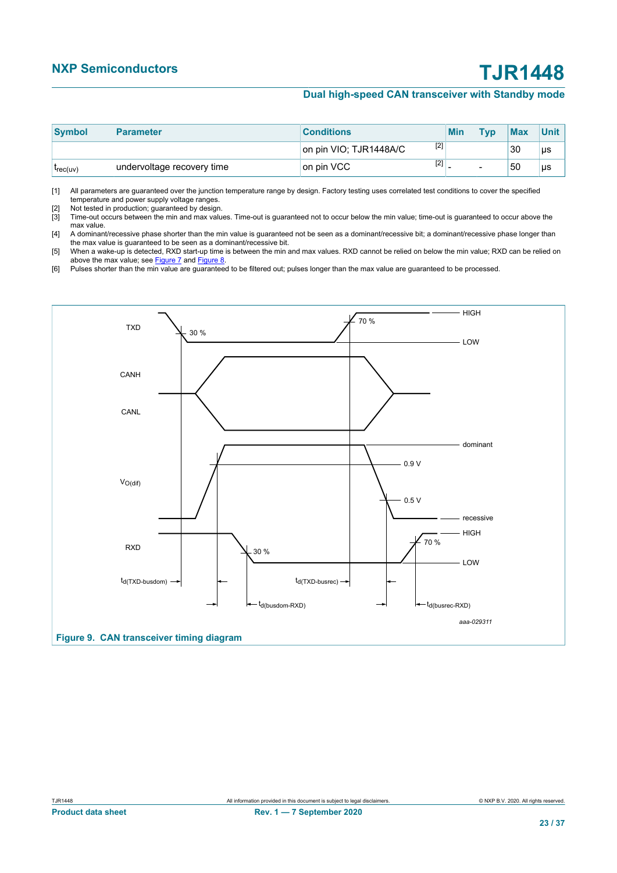## **Dual high-speed CAN transceiver with Standby mode**

<span id="page-22-3"></span><span id="page-22-2"></span><span id="page-22-0"></span>

| Symbol   | Parameter                  | <b>Conditions</b>               | <b>Min</b> | <b>Tvp</b> | <b>Max</b> | <b>Unit</b> |
|----------|----------------------------|---------------------------------|------------|------------|------------|-------------|
|          |                            | $[2]$<br>on pin VIO; TJR1448A/C |            |            | 30         | μs          |
| lrec(uv) | undervoltage recovery time | $[2]$<br>on pin VCC             |            |            | 50         | μs          |

<span id="page-22-5"></span><span id="page-22-4"></span>[1] All parameters are guaranteed over the junction temperature range by design. Factory testing uses correlated test conditions to cover the specified temperature and power supply voltage ranges.

<span id="page-22-6"></span>[2] Not tested in production; guaranteed by design.

[3] Time-out occurs between the min and max values. Time-out is guaranteed not to occur below the min value; time-out is guaranteed to occur above the max value.

[4] A dominant/recessive phase shorter than the min value is guaranteed not be seen as a dominant/recessive bit; a dominant/recessive phase longer than the max value is guaranteed to be seen as a dominant/recessive bit.

[5] When a wake-up is detected, RXD start-up time is between the min and max values. RXD cannot be relied on below the min value; RXD can be relied on above the max value; see **[Figure 7](#page-14-0)** and **Figure 8**.

[6] Pulses shorter than the min value are guaranteed to be filtered out; pulses longer than the max value are guaranteed to be processed.

<span id="page-22-1"></span>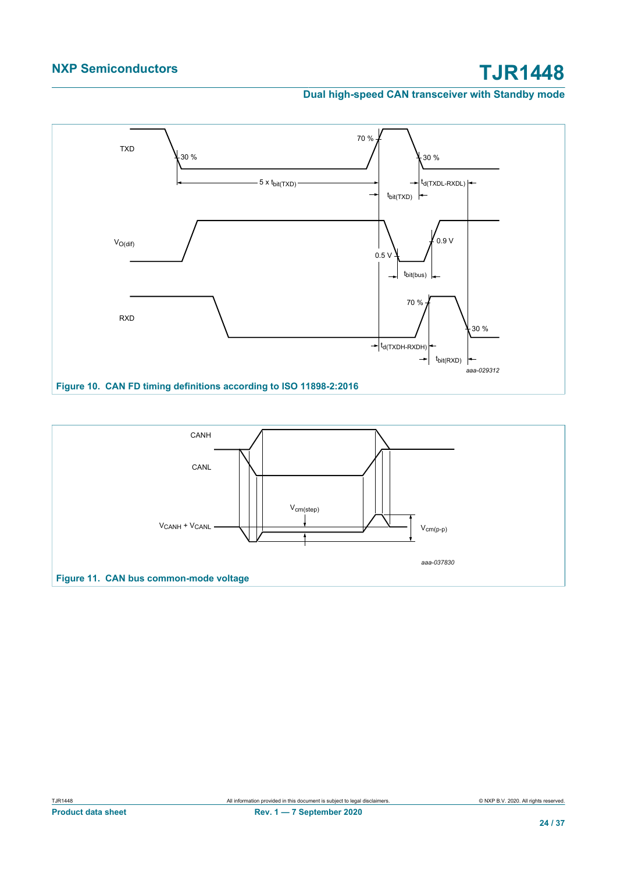**Dual high-speed CAN transceiver with Standby mode**

<span id="page-23-1"></span>

<span id="page-23-0"></span>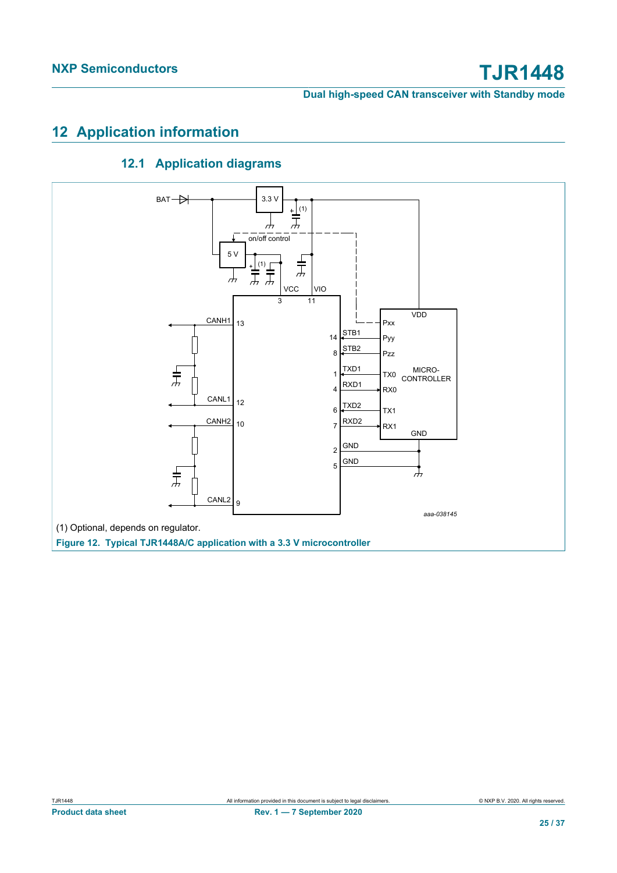# <span id="page-24-0"></span>**12 Application information**

# <span id="page-24-1"></span>**12.1 Application diagrams**

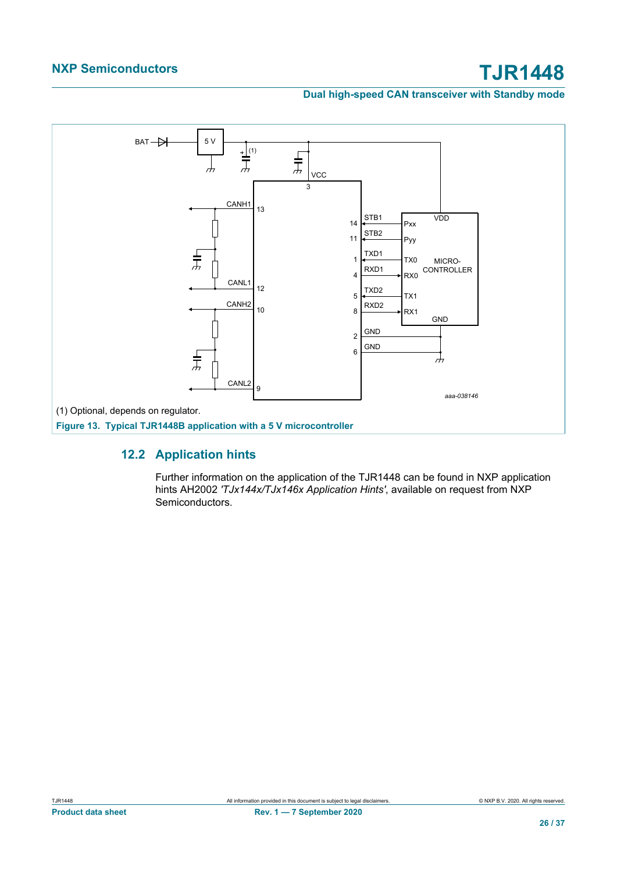**Dual high-speed CAN transceiver with Standby mode**



# **12.2 Application hints**

<span id="page-25-0"></span>Further information on the application of the TJR1448 can be found in NXP application hints AH2002 *'TJx144x/TJx146x Application Hints'*, available on request from NXP Semiconductors.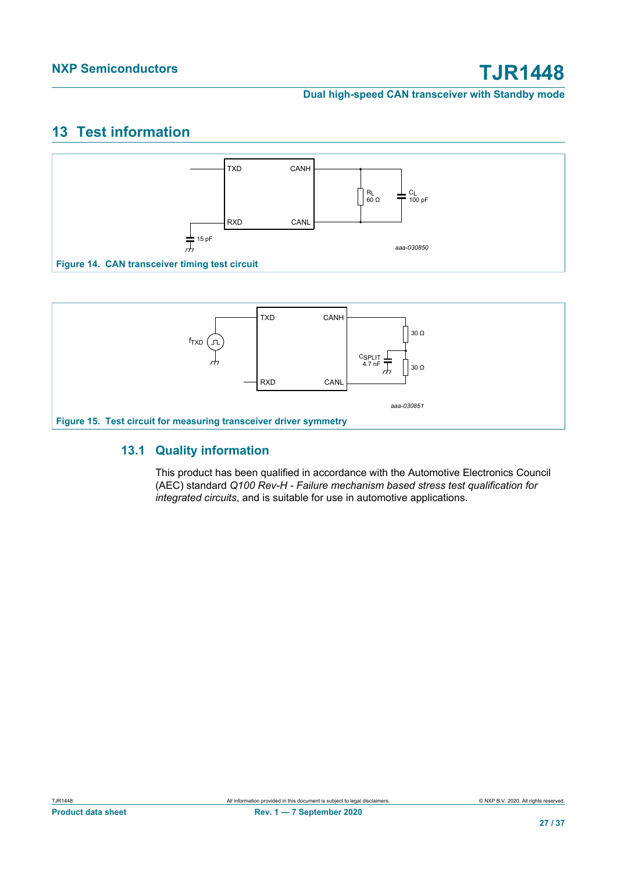# <span id="page-26-2"></span>**13 Test information**

<span id="page-26-1"></span>

<span id="page-26-0"></span>

## **13.1 Quality information**

<span id="page-26-3"></span>This product has been qualified in accordance with the Automotive Electronics Council (AEC) standard *Q100 Rev-H - Failure mechanism based stress test qualification for integrated circuits*, and is suitable for use in automotive applications.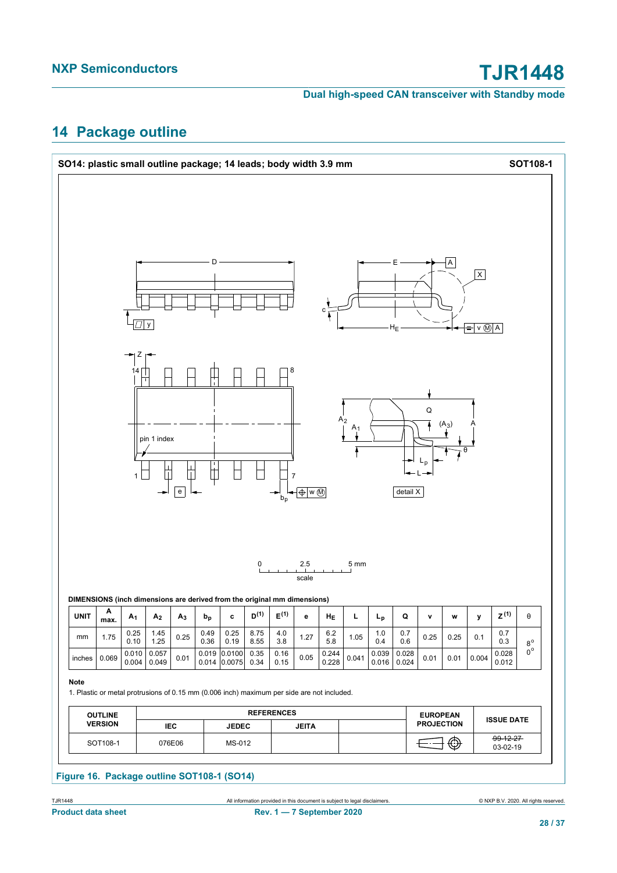# <span id="page-27-0"></span>**14 Package outline**

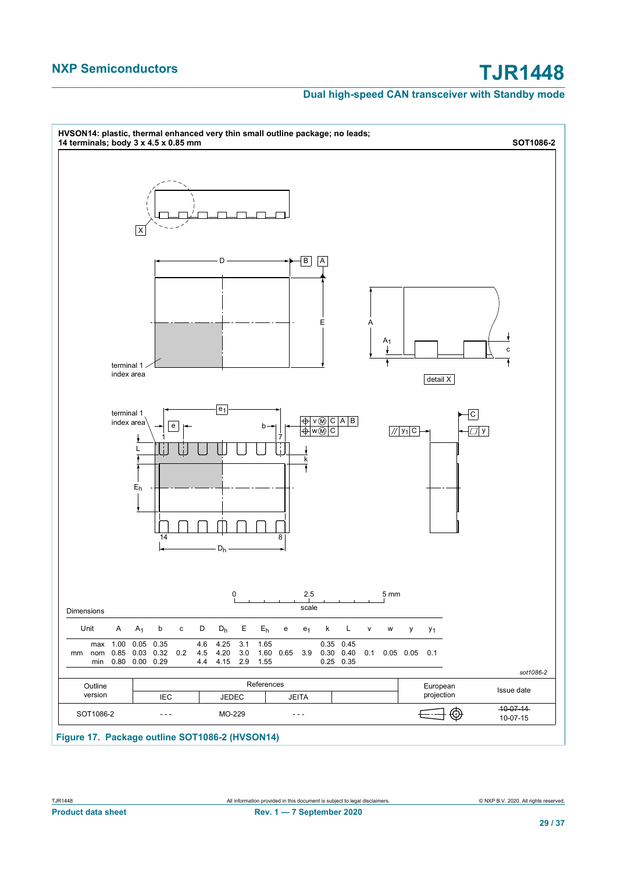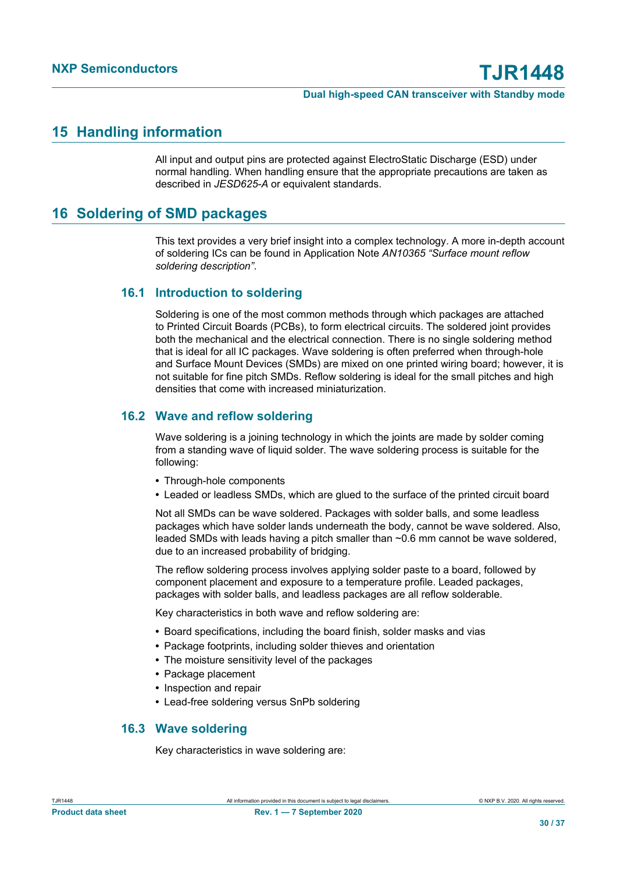# <span id="page-29-1"></span>**15 Handling information**

All input and output pins are protected against ElectroStatic Discharge (ESD) under normal handling. When handling ensure that the appropriate precautions are taken as described in *JESD625-A* or equivalent standards.

# <span id="page-29-0"></span>**16 Soldering of SMD packages**

This text provides a very brief insight into a complex technology. A more in-depth account of soldering ICs can be found in Application Note *AN10365 "Surface mount reflow soldering description"*.

## **16.1 Introduction to soldering**

Soldering is one of the most common methods through which packages are attached to Printed Circuit Boards (PCBs), to form electrical circuits. The soldered joint provides both the mechanical and the electrical connection. There is no single soldering method that is ideal for all IC packages. Wave soldering is often preferred when through-hole and Surface Mount Devices (SMDs) are mixed on one printed wiring board; however, it is not suitable for fine pitch SMDs. Reflow soldering is ideal for the small pitches and high densities that come with increased miniaturization.

## **16.2 Wave and reflow soldering**

Wave soldering is a joining technology in which the joints are made by solder coming from a standing wave of liquid solder. The wave soldering process is suitable for the following:

- **•** Through-hole components
- **•** Leaded or leadless SMDs, which are glued to the surface of the printed circuit board

Not all SMDs can be wave soldered. Packages with solder balls, and some leadless packages which have solder lands underneath the body, cannot be wave soldered. Also, leaded SMDs with leads having a pitch smaller than  $\sim 0.6$  mm cannot be wave soldered. due to an increased probability of bridging.

The reflow soldering process involves applying solder paste to a board, followed by component placement and exposure to a temperature profile. Leaded packages, packages with solder balls, and leadless packages are all reflow solderable.

Key characteristics in both wave and reflow soldering are:

- **•** Board specifications, including the board finish, solder masks and vias
- **•** Package footprints, including solder thieves and orientation
- **•** The moisture sensitivity level of the packages
- **•** Package placement
- **•** Inspection and repair
- **•** Lead-free soldering versus SnPb soldering

## **16.3 Wave soldering**

Key characteristics in wave soldering are: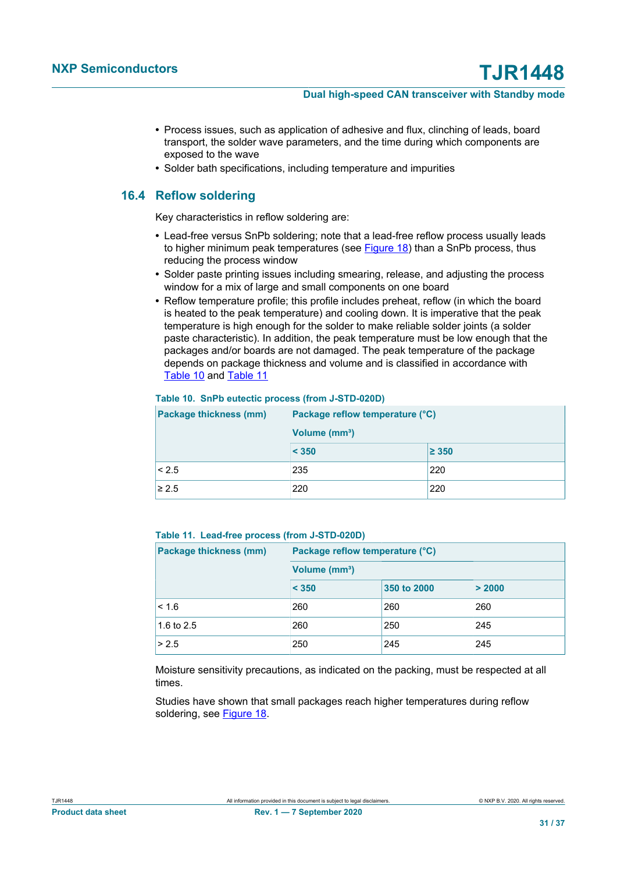- **•** Process issues, such as application of adhesive and flux, clinching of leads, board transport, the solder wave parameters, and the time during which components are exposed to the wave
- **•** Solder bath specifications, including temperature and impurities

## **16.4 Reflow soldering**

Key characteristics in reflow soldering are:

- **•** Lead-free versus SnPb soldering; note that a lead-free reflow process usually leads to higher minimum peak temperatures (see [Figure 18](#page-31-0)) than a SnPb process, thus reducing the process window
- **•** Solder paste printing issues including smearing, release, and adjusting the process window for a mix of large and small components on one board
- **•** Reflow temperature profile; this profile includes preheat, reflow (in which the board is heated to the peak temperature) and cooling down. It is imperative that the peak temperature is high enough for the solder to make reliable solder joints (a solder paste characteristic). In addition, the peak temperature must be low enough that the packages and/or boards are not damaged. The peak temperature of the package depends on package thickness and volume and is classified in accordance with [Table 10](#page-30-0) and [Table 11](#page-30-1)

| <b>Package thickness (mm)</b> | Package reflow temperature (°C) |            |  |  |
|-------------------------------|---------------------------------|------------|--|--|
|                               | Volume (mm <sup>3</sup> )       |            |  |  |
|                               | < 350                           | $\geq 350$ |  |  |
| < 2.5                         | 235                             | 220        |  |  |
| $\geq 2.5$                    | 220                             | 220        |  |  |

#### <span id="page-30-0"></span>**Table 10. SnPb eutectic process (from J-STD-020D)**

#### <span id="page-30-1"></span>**Table 11. Lead-free process (from J-STD-020D)**

| <b>Package thickness (mm)</b> | Package reflow temperature (°C) |             |        |  |
|-------------------------------|---------------------------------|-------------|--------|--|
|                               | Volume (mm <sup>3</sup> )       |             |        |  |
|                               | < 350                           | 350 to 2000 | > 2000 |  |
| < 1.6                         | 260                             | 260         | 260    |  |
| 1.6 to 2.5                    | 260                             | 250         | 245    |  |
| > 2.5                         | 250                             | 245         | 245    |  |

Moisture sensitivity precautions, as indicated on the packing, must be respected at all times.

Studies have shown that small packages reach higher temperatures during reflow soldering, see [Figure 18](#page-31-0).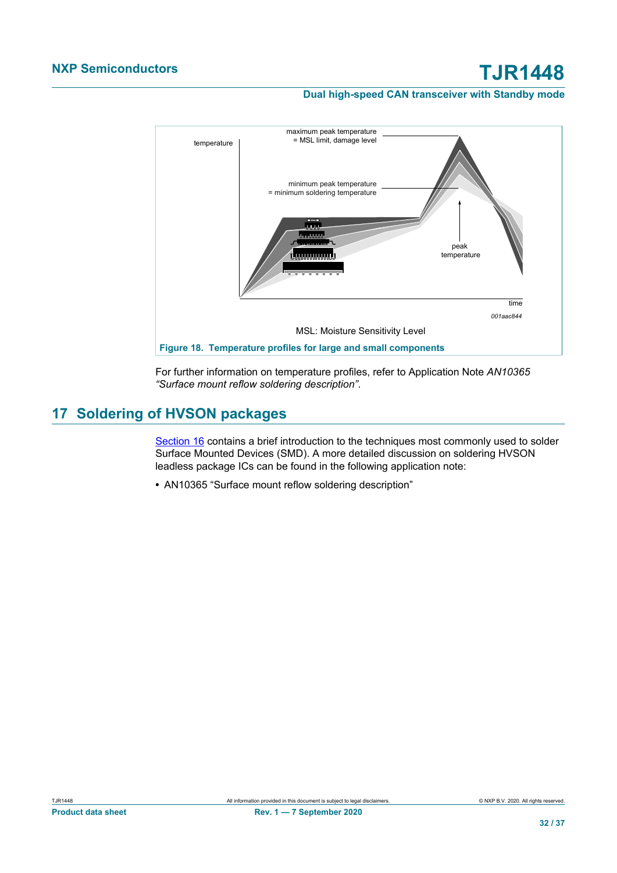### **Dual high-speed CAN transceiver with Standby mode**

<span id="page-31-0"></span>

For further information on temperature profiles, refer to Application Note *AN10365 "Surface mount reflow soldering description"*.

# <span id="page-31-1"></span>**17 Soldering of HVSON packages**

[Section 16](#page-29-0) contains a brief introduction to the techniques most commonly used to solder Surface Mounted Devices (SMD). A more detailed discussion on soldering HVSON leadless package ICs can be found in the following application note:

**•** AN10365 "Surface mount reflow soldering description"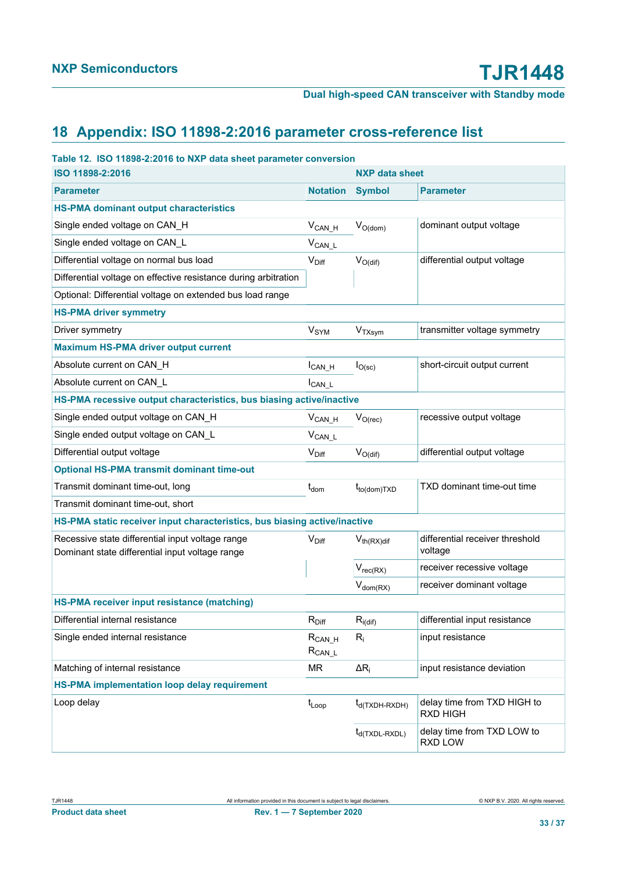# <span id="page-32-0"></span>**18 Appendix: ISO 11898-2:2016 parameter cross-reference list**

| Table 12. ISO 11898-2:2016 to NXP data sheet parameter conversion                                   |                             |                            |                                            |  |  |
|-----------------------------------------------------------------------------------------------------|-----------------------------|----------------------------|--------------------------------------------|--|--|
| ISO 11898-2:2016                                                                                    |                             | <b>NXP data sheet</b>      |                                            |  |  |
| <b>Parameter</b>                                                                                    | <b>Notation</b>             | <b>Symbol</b>              | <b>Parameter</b>                           |  |  |
| <b>HS-PMA dominant output characteristics</b>                                                       |                             |                            |                                            |  |  |
| Single ended voltage on CAN_H                                                                       | $V_{CAN_H}$                 | $V_{O(dom)}$               | dominant output voltage                    |  |  |
| Single ended voltage on CAN_L                                                                       | $V_{CAN\_L}$                |                            |                                            |  |  |
| Differential voltage on normal bus load                                                             | $V_{\text{Diff}}$           | $V_{O(di)}$                | differential output voltage                |  |  |
| Differential voltage on effective resistance during arbitration                                     |                             |                            |                                            |  |  |
| Optional: Differential voltage on extended bus load range                                           |                             |                            |                                            |  |  |
| <b>HS-PMA driver symmetry</b>                                                                       |                             |                            |                                            |  |  |
| Driver symmetry                                                                                     | V <sub>SYM</sub>            | V <sub>TXsym</sub>         | transmitter voltage symmetry               |  |  |
| <b>Maximum HS-PMA driver output current</b>                                                         |                             |                            |                                            |  |  |
| Absolute current on CAN H                                                                           | $I_{CAN_H}$                 | $I_{O(\rm sc)}$            | short-circuit output current               |  |  |
| Absolute current on CAN L                                                                           | $I_{CAN\_L}$                |                            |                                            |  |  |
| HS-PMA recessive output characteristics, bus biasing active/inactive                                |                             |                            |                                            |  |  |
| Single ended output voltage on CAN H                                                                | $V_{CAN_H}$                 | $V_{O(rec)}$               | recessive output voltage                   |  |  |
| Single ended output voltage on CAN L                                                                | $V_{CAN_L}$                 |                            |                                            |  |  |
| Differential output voltage                                                                         | $V_{\text{Diff}}$           | $V_{O(di)}$                | differential output voltage                |  |  |
| <b>Optional HS-PMA transmit dominant time-out</b>                                                   |                             |                            |                                            |  |  |
| Transmit dominant time-out, long                                                                    | $t_{dom}$                   | $t_{to (dom)TXD}$          | TXD dominant time-out time                 |  |  |
| Transmit dominant time-out, short                                                                   |                             |                            |                                            |  |  |
| HS-PMA static receiver input characteristics, bus biasing active/inactive                           |                             |                            |                                            |  |  |
| Recessive state differential input voltage range<br>Dominant state differential input voltage range | $V_{Diff}$                  | $V_{th(RX)dif}$            | differential receiver threshold<br>voltage |  |  |
|                                                                                                     |                             | $V_{rec(RX)}$              | receiver recessive voltage                 |  |  |
|                                                                                                     |                             | $V_{dom(RX)}$              | receiver dominant voltage                  |  |  |
| HS-PMA receiver input resistance (matching)                                                         |                             |                            |                                            |  |  |
| Differential internal resistance                                                                    | $R_{Diff}$                  | $R_{i(di)}$                | differential input resistance              |  |  |
| Single ended internal resistance                                                                    | $R_{CAN_H}$<br>$R_{CAN\_L}$ | $R_i$                      | input resistance                           |  |  |
| Matching of internal resistance                                                                     | MR                          | $\Delta R_i$               | input resistance deviation                 |  |  |
| <b>HS-PMA implementation loop delay requirement</b>                                                 |                             |                            |                                            |  |  |
| Loop delay                                                                                          | $t_{Loop}$                  | t <sub>d</sub> (TXDH-RXDH) | delay time from TXD HIGH to<br>RXD HIGH    |  |  |
|                                                                                                     |                             | t <sub>d</sub> (TXDL-RXDL) | delay time from TXD LOW to<br>RXD LOW      |  |  |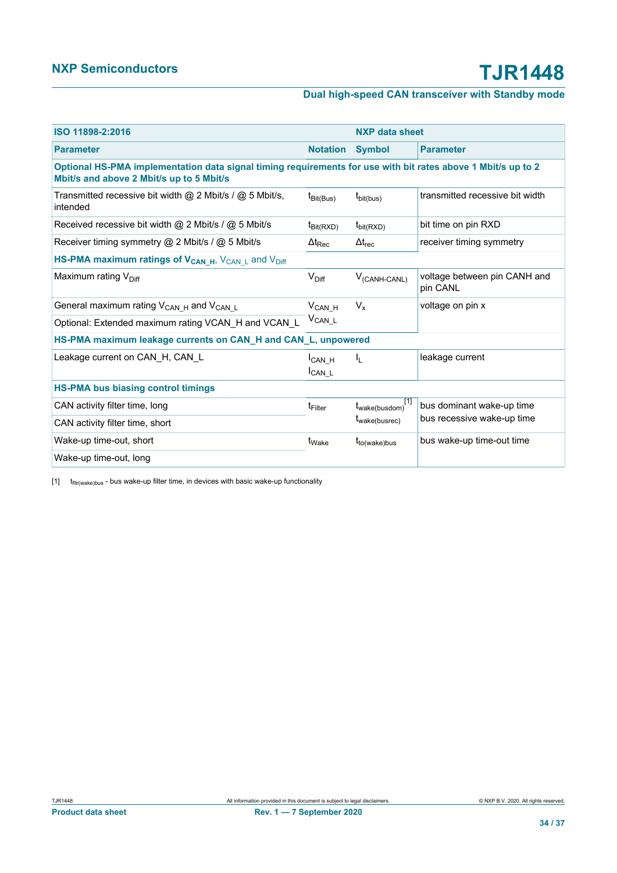<span id="page-33-0"></span>

| ISO 11898-2:2016                                                                                                                                         |                               | <b>NXP data sheet</b>                    |                                          |  |  |
|----------------------------------------------------------------------------------------------------------------------------------------------------------|-------------------------------|------------------------------------------|------------------------------------------|--|--|
| <b>Parameter</b>                                                                                                                                         | <b>Notation</b>               | <b>Symbol</b>                            | <b>Parameter</b>                         |  |  |
| Optional HS-PMA implementation data signal timing requirements for use with bit rates above 1 Mbit/s up to 2<br>Mbit/s and above 2 Mbit/s up to 5 Mbit/s |                               |                                          |                                          |  |  |
| Transmitted recessive bit width $@$ 2 Mbit/s / $@$ 5 Mbit/s,<br>intended                                                                                 | t <sub>Bit</sub> (Bus)        | t <sub>bit(bus)</sub>                    | transmitted recessive bit width          |  |  |
| Received recessive bit width $@$ 2 Mbit/s / $@$ 5 Mbit/s                                                                                                 | $t_{\text{Bit(RXD)}}$         | $t_{\text{bit(RXD)}}$                    | bit time on pin RXD                      |  |  |
| Receiver timing symmetry @ 2 Mbit/s / @ 5 Mbit/s                                                                                                         | $\Delta t_\text{Rec}$         | $\Delta t_{\text{rec}}$                  | receiver timing symmetry                 |  |  |
| HS-PMA maximum ratings of V <sub>CAN_H</sub> , V <sub>CAN_L</sub> and V <sub>Diff</sub>                                                                  |                               |                                          |                                          |  |  |
| Maximum rating V <sub>Diff</sub>                                                                                                                         | $V_{\text{Diff}}$             | $V_{(CANH-CANL)}$                        | voltage between pin CANH and<br>pin CANL |  |  |
| General maximum rating V <sub>CAN_H</sub> and V <sub>CAN_L</sub>                                                                                         | $V_{CAN_H}$                   | $V_{x}$                                  | voltage on pin x                         |  |  |
| Optional: Extended maximum rating VCAN_H and VCAN_L                                                                                                      | $V_{CAN\_L}$                  |                                          |                                          |  |  |
| HS-PMA maximum leakage currents on CAN_H and CAN_L, unpowered                                                                                            |                               |                                          |                                          |  |  |
| Leakage current on CAN_H, CAN_L                                                                                                                          | I <sub>CANH</sub><br>$ICAN_L$ | I <sub>L</sub>                           | leakage current                          |  |  |
| <b>HS-PMA bus biasing control timings</b>                                                                                                                |                               |                                          |                                          |  |  |
| CAN activity filter time, long                                                                                                                           | t <sub>Filter</sub>           | $t_{\text{wake(busdom)}}$ <sup>[1]</sup> | bus dominant wake-up time                |  |  |
| CAN activity filter time, short                                                                                                                          |                               | t <sub>wake(busrec)</sub>                | bus recessive wake-up time               |  |  |
| Wake-up time-out, short                                                                                                                                  | t <sub>Wake</sub>             | t <sub>to(wake)bus</sub>                 | bus wake-up time-out time                |  |  |
| Wake-up time-out, long                                                                                                                                   |                               |                                          |                                          |  |  |

 $[1]$   $t$ <sub>fltr(wake)bus</sub> - bus wake-up filter time, in devices with basic wake-up functionality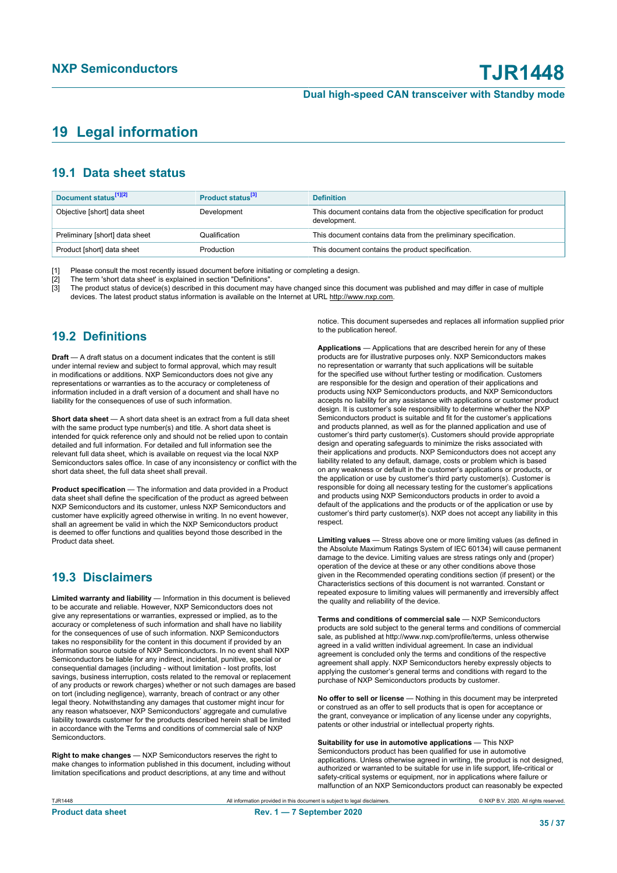# <span id="page-34-0"></span>**19 Legal information**

## **19.1 Data sheet status**

| Document status <sup>[1][2]</sup> | Product status <sup>[3]</sup> | <b>Definition</b>                                                                        |
|-----------------------------------|-------------------------------|------------------------------------------------------------------------------------------|
| Objective [short] data sheet      | Development                   | This document contains data from the objective specification for product<br>development. |
| Preliminary [short] data sheet    | Qualification                 | This document contains data from the preliminary specification.                          |
| Product [short] data sheet        | Production                    | This document contains the product specification.                                        |

[1] Please consult the most recently issued document before initiating or completing a design.<br>[2] The term 'short data sheet' is explained in section "Definitions".

t :<br>[2] The term 'short data sheet' is explained in section "Definitions".<br>[3] The product status of device(s) described in this document may

The product status of device(s) described in this document may have changed since this document was published and may differ in case of multiple devices. The latest product status information is available on the Internet at URL http://www.nxp.com.

## **19.2 Definitions**

**Draft** — A draft status on a document indicates that the content is still under internal review and subject to formal approval, which may result in modifications or additions. NXP Semiconductors does not give any representations or warranties as to the accuracy or completeness of information included in a draft version of a document and shall have no liability for the consequences of use of such information.

**Short data sheet** — A short data sheet is an extract from a full data sheet with the same product type number(s) and title. A short data sheet is intended for quick reference only and should not be relied upon to contain detailed and full information. For detailed and full information see the relevant full data sheet, which is available on request via the local NXP Semiconductors sales office. In case of any inconsistency or conflict with the short data sheet, the full data sheet shall prevail.

**Product specification** — The information and data provided in a Product data sheet shall define the specification of the product as agreed between NXP Semiconductors and its customer, unless NXP Semiconductors and customer have explicitly agreed otherwise in writing. In no event however, shall an agreement be valid in which the NXP Semiconductors product is deemed to offer functions and qualities beyond those described in the Product data sheet.

## **19.3 Disclaimers**

**Limited warranty and liability** — Information in this document is believed to be accurate and reliable. However, NXP Semiconductors does not give any representations or warranties, expressed or implied, as to the accuracy or completeness of such information and shall have no liability for the consequences of use of such information. NXP Semiconductors takes no responsibility for the content in this document if provided by an information source outside of NXP Semiconductors. In no event shall NXP Semiconductors be liable for any indirect, incidental, punitive, special or consequential damages (including - without limitation - lost profits, lost savings, business interruption, costs related to the removal or replacement of any products or rework charges) whether or not such damages are based on tort (including negligence), warranty, breach of contract or any other legal theory. Notwithstanding any damages that customer might incur for any reason whatsoever, NXP Semiconductors' aggregate and cumulative liability towards customer for the products described herein shall be limited in accordance with the Terms and conditions of commercial sale of NXP **Semiconductors** 

**Right to make changes** — NXP Semiconductors reserves the right to make changes to information published in this document, including without limitation specifications and product descriptions, at any time and without

notice. This document supersedes and replaces all information supplied prior to the publication hereof.

**Applications** — Applications that are described herein for any of these products are for illustrative purposes only. NXP Semiconductors makes no representation or warranty that such applications will be suitable for the specified use without further testing or modification. Customers are responsible for the design and operation of their applications and products using NXP Semiconductors products, and NXP Semiconductors accepts no liability for any assistance with applications or customer product design. It is customer's sole responsibility to determine whether the NXP Semiconductors product is suitable and fit for the customer's applications and products planned, as well as for the planned application and use of customer's third party customer(s). Customers should provide appropriate design and operating safeguards to minimize the risks associated with their applications and products. NXP Semiconductors does not accept any liability related to any default, damage, costs or problem which is based on any weakness or default in the customer's applications or products, or the application or use by customer's third party customer(s). Customer is responsible for doing all necessary testing for the customer's applications and products using NXP Semiconductors products in order to avoid a default of the applications and the products or of the application or use by customer's third party customer(s). NXP does not accept any liability in this respect.

**Limiting values** — Stress above one or more limiting values (as defined in the Absolute Maximum Ratings System of IEC 60134) will cause permanent damage to the device. Limiting values are stress ratings only and (proper) operation of the device at these or any other conditions above those given in the Recommended operating conditions section (if present) or the Characteristics sections of this document is not warranted. Constant or repeated exposure to limiting values will permanently and irreversibly affect the quality and reliability of the device.

**Terms and conditions of commercial sale** — NXP Semiconductors products are sold subject to the general terms and conditions of commercial sale, as published at http://www.nxp.com/profile/terms, unless otherwise agreed in a valid written individual agreement. In case an individual agreement is concluded only the terms and conditions of the respective agreement shall apply. NXP Semiconductors hereby expressly objects to applying the customer's general terms and conditions with regard to the purchase of NXP Semiconductors products by customer.

**No offer to sell or license** — Nothing in this document may be interpreted or construed as an offer to sell products that is open for acceptance or the grant, conveyance or implication of any license under any copyrights, patents or other industrial or intellectual property rights.

**Suitability for use in automotive applications** — This NXP Semiconductors product has been qualified for use in automotive applications. Unless otherwise agreed in writing, the product is not designed, authorized or warranted to be suitable for use in life support, life-critical or safety-critical systems or equipment, nor in applications where failure or malfunction of an NXP Semiconductors product can reasonably be expected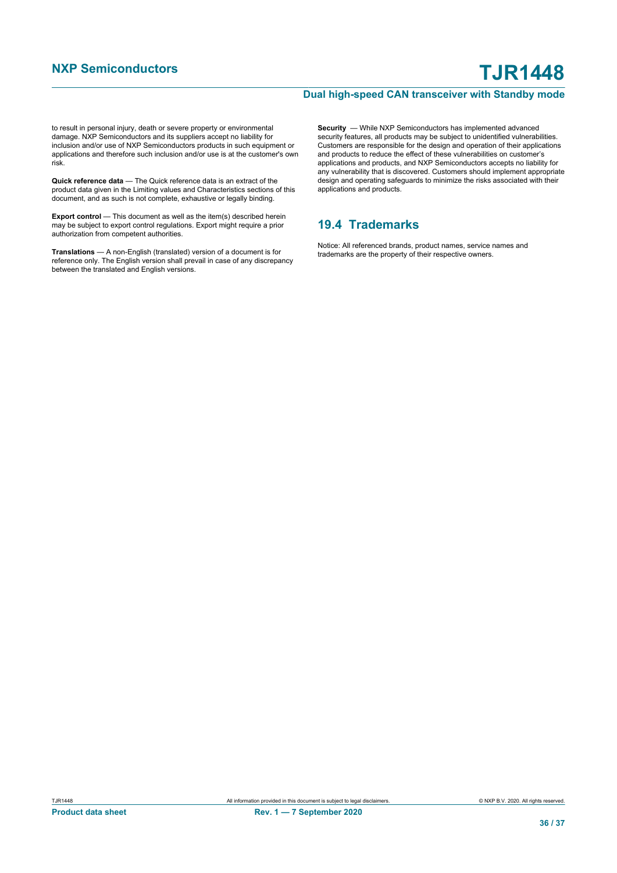to result in personal injury, death or severe property or environmental damage. NXP Semiconductors and its suppliers accept no liability for inclusion and/or use of NXP Semiconductors products in such equipment or applications and therefore such inclusion and/or use is at the customer's own risk.

**Quick reference data** — The Quick reference data is an extract of the product data given in the Limiting values and Characteristics sections of this document, and as such is not complete, exhaustive or legally binding.

**Export control** — This document as well as the item(s) described herein may be subject to export control regulations. Export might require a prior authorization from competent authorities.

**Translations** — A non-English (translated) version of a document is for reference only. The English version shall prevail in case of any discrepancy between the translated and English versions.

**Security** — While NXP Semiconductors has implemented advanced security features, all products may be subject to unidentified vulnerabilities. Customers are responsible for the design and operation of their applications and products to reduce the effect of these vulnerabilities on customer's applications and products, and NXP Semiconductors accepts no liability for any vulnerability that is discovered. Customers should implement appropriate design and operating safeguards to minimize the risks associated with their applications and products.

## **19.4 Trademarks**

Notice: All referenced brands, product names, service names and trademarks are the property of their respective owners.